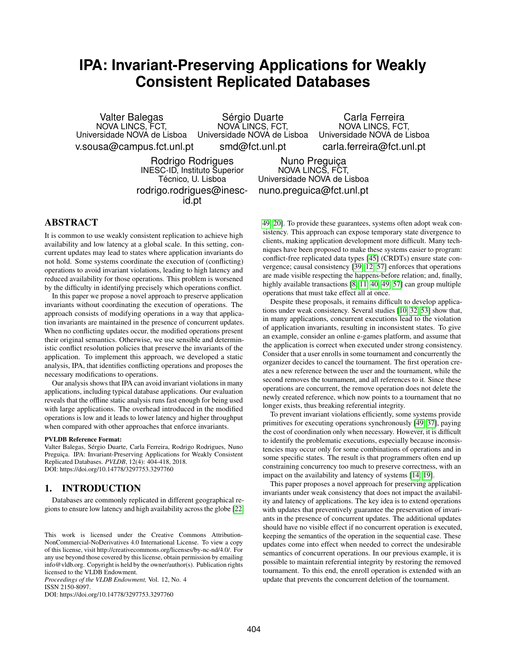# **IPA: Invariant-Preserving Applications for Weakly Consistent Replicated Databases**

Valter Balegas NOVA LINCS, FCT, Universidade NOVA de Lisboa Universidade NOVA de Lisboa v.sousa@campus.fct.unl.pt Sérgio Duarte NOVA LINCS, FCT, smd@fct.unl.pt

Carla Ferreira NOVA LINCS, FCT, Universidade NOVA de Lisboa carla.ferreira@fct.unl.pt

Rodrigo Rodrigues INESC-ID, Instituto Superior Técnico, U. Lisboa rodrigo.rodrigues@inescid.pt

Nuno Preguiça NOVA LINCS, FCT, Universidade NOVA de Lisboa nuno.preguica@fct.unl.pt

# ABSTRACT

It is common to use weakly consistent replication to achieve high availability and low latency at a global scale. In this setting, concurrent updates may lead to states where application invariants do not hold. Some systems coordinate the execution of (conflicting) operations to avoid invariant violations, leading to high latency and reduced availability for those operations. This problem is worsened by the difficulty in identifying precisely which operations conflict.

In this paper we propose a novel approach to preserve application invariants without coordinating the execution of operations. The approach consists of modifying operations in a way that application invariants are maintained in the presence of concurrent updates. When no conflicting updates occur, the modified operations present their original semantics. Otherwise, we use sensible and deterministic conflict resolution policies that preserve the invariants of the application. To implement this approach, we developed a static analysis, IPA, that identifies conflicting operations and proposes the necessary modifications to operations.

Our analysis shows that IPA can avoid invariant violations in many applications, including typical database applications. Our evaluation reveals that the offline static analysis runs fast enough for being used with large applications. The overhead introduced in the modified operations is low and it leads to lower latency and higher throughput when compared with other approaches that enforce invariants.

#### PVLDB Reference Format:

Valter Balegas, Sérgio Duarte, Carla Ferreira, Rodrigo Rodrigues, Nuno Preguiça. IPA: Invariant-Preserving Applications for Weakly Consistent Replicated Databases. *PVLDB*, 12(4): 404-418, 2018. DOI: https://doi.org/10.14778/3297753.3297760

# 1. INTRODUCTION

Databases are commonly replicated in different geographical regions to ensure low latency and high availability across the globe [\[22,](#page-12-0)

*Proceedings of the VLDB Endowment,* Vol. 12, No. 4 ISSN 2150-8097.

DOI: https://doi.org/10.14778/3297753.3297760

[49,](#page-13-0) [20\]](#page-12-1). To provide these guarantees, systems often adopt weak consistency. This approach can expose temporary state divergence to clients, making application development more difficult. Many techniques have been proposed to make these systems easier to program: conflict-free replicated data types [\[45\]](#page-13-1) (CRDTs) ensure state convergence; causal consistency [\[39,](#page-13-2) [12,](#page-12-2) [57\]](#page-14-0) enforces that operations are made visible respecting the happens-before relation; and, finally, highly available transactions [\[8,](#page-12-3) [11,](#page-12-4) [40,](#page-13-3) [49,](#page-13-0) [57\]](#page-14-0) can group multiple operations that must take effect all at once.

Despite these proposals, it remains difficult to develop applications under weak consistency. Several studies [\[10,](#page-12-5) [32,](#page-13-4) [53\]](#page-13-5) show that, in many applications, concurrent executions lead to the violation of application invariants, resulting in inconsistent states. To give an example, consider an online e-games platform, and assume that the application is correct when executed under strong consistency. Consider that a user enrolls in some tournament and concurrently the organizer decides to cancel the tournament. The first operation creates a new reference between the user and the tournament, while the second removes the tournament, and all references to it. Since these operations are concurrent, the remove operation does not delete the newly created reference, which now points to a tournament that no longer exists, thus breaking referential integrity.

To prevent invariant violations efficiently, some systems provide primitives for executing operations synchronously [\[49,](#page-13-0) [37\]](#page-13-6), paying the cost of coordination only when necessary. However, it is difficult to identify the problematic executions, especially because inconsistencies may occur only for some combinations of operations and in some specific states. The result is that programmers often end up constraining concurrency too much to preserve correctness, with an impact on the availability and latency of systems [\[14,](#page-12-6) [19\]](#page-12-7).

This paper proposes a novel approach for preserving application invariants under weak consistency that does not impact the availability and latency of applications. The key idea is to extend operations with updates that preventively guarantee the preservation of invariants in the presence of concurrent updates. The additional updates should have no visible effect if no concurrent operation is executed, keeping the semantics of the operation in the sequential case. These updates come into effect when needed to correct the undesirable semantics of concurrent operations. In our previous example, it is possible to maintain referential integrity by restoring the removed tournament. To this end, the enroll operation is extended with an update that prevents the concurrent deletion of the tournament.

This work is licensed under the Creative Commons Attribution-NonCommercial-NoDerivatives 4.0 International License. To view a copy of this license, visit http://creativecommons.org/licenses/by-nc-nd/4.0/. For any use beyond those covered by this license, obtain permission by emailing info@vldb.org. Copyright is held by the owner/author(s). Publication rights licensed to the VLDB Endowment.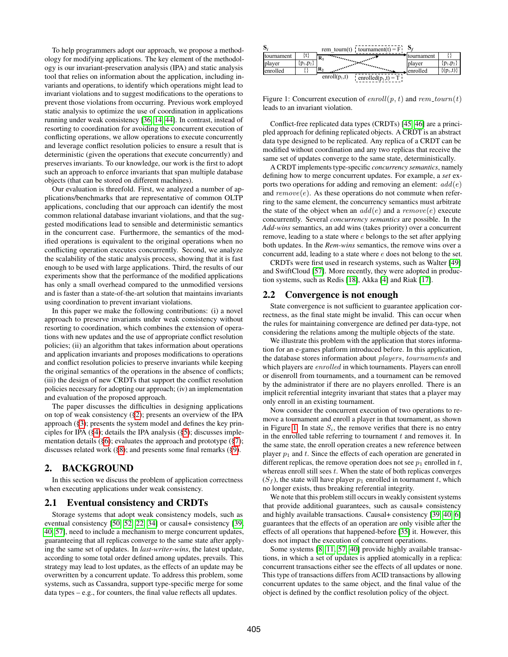To help programmers adopt our approach, we propose a methodology for modifying applications. The key element of the methodology is our invariant-preservation analysis (IPA) and static analysis tool that relies on information about the application, including invariants and operations, to identify which operations might lead to invariant violations and to suggest modifications to the operations to prevent those violations from occurring. Previous work employed static analysis to optimize the use of coordination in applications running under weak consistency [\[36,](#page-13-7) [14,](#page-12-6) [44\]](#page-13-8). In contrast, instead of resorting to coordination for avoiding the concurrent execution of conflicting operations, we allow operations to execute concurrently and leverage conflict resolution policies to ensure a result that is deterministic (given the operations that execute concurrently) and preserves invariants. To our knowledge, our work is the first to adopt such an approach to enforce invariants that span multiple database objects (that can be stored on different machines).

Our evaluation is threefold. First, we analyzed a number of applications/benchmarks that are representative of common OLTP applications, concluding that our approach can identify the most common relational database invariant violations, and that the suggested modifications lead to sensible and deterministic semantics in the concurrent case. Furthermore, the semantics of the modified operations is equivalent to the original operations when no conflicting operation executes concurrently. Second, we analyze the scalability of the static analysis process, showing that it is fast enough to be used with large applications. Third, the results of our experiments show that the performance of the modified applications has only a small overhead compared to the unmodified versions and is faster than a state-of-the-art solution that maintains invariants using coordination to prevent invariant violations.

In this paper we make the following contributions: (i) a novel approach to preserve invariants under weak consistency without resorting to coordination, which combines the extension of operations with new updates and the use of appropriate conflict resolution policies; (ii) an algorithm that takes information about operations and application invariants and proposes modifications to operations and conflict resolution policies to preserve invariants while keeping the original semantics of the operations in the absence of conflicts; (iii) the design of new CRDTs that support the conflict resolution policies necessary for adopting our approach; (iv) an implementation and evaluation of the proposed approach.

The paper discusses the difficulties in designing applications on top of weak consistency ([§2\)](#page-1-0); presents an overview of the IPA approach ([§3\)](#page-2-0); presents the system model and defines the key principles for IPA ([§4\)](#page-2-1); details the IPA analysis ([§5\)](#page-3-0); discusses implementation details ([§6\)](#page-7-0); evaluates the approach and prototype ([§7\)](#page-8-0); discusses related work ([§8\)](#page-10-0); and presents some final remarks ([§9\)](#page-11-0).

### <span id="page-1-0"></span>2. BACKGROUND

In this section we discuss the problem of application correctness when executing applications under weak consistency.

### 2.1 Eventual consistency and CRDTs

Storage systems that adopt weak consistency models, such as eventual consistency [\[50,](#page-13-9) [52,](#page-13-10) [22,](#page-12-0) [34\]](#page-13-11) or causal+ consistency [\[39,](#page-13-2) [40,](#page-13-3) [57\]](#page-14-0), need to include a mechanism to merge concurrent updates, guaranteeing that all replicas converge to the same state after applying the same set of updates. In *last-writer-wins*, the latest update, according to some total order defined among updates, prevails. This strategy may lead to lost updates, as the effects of an update may be overwritten by a concurrent update. To address this problem, some systems, such as Cassandra, support type-specific merge for some data types – e.g., for counters, the final value reflects all updates.

<span id="page-1-1"></span>

| S.          |             |                  | rem tourn(t) $\cdot$ tournament(t) = F                                                                                                                                                                                            | Эz         |            |
|-------------|-------------|------------------|-----------------------------------------------------------------------------------------------------------------------------------------------------------------------------------------------------------------------------------|------------|------------|
| Itournament |             | R۱               |                                                                                                                                                                                                                                   | tournament |            |
| player      | ${p_1,p_2}$ |                  | antara mangangan kalendar di kacamatan di kacamatan di kacamatan di kacamatan di kacamatan di kacamatan di kaca<br>Kacamatan di kacamatan di kacamatan di kacamatan di kacamatan di kacamatan di kacamatan di kacamatan di kacama | player     | $p_1, p_2$ |
| lenrolled   |             | $\mathbf{R}_{2}$ |                                                                                                                                                                                                                                   | lenrolled  | $p_1(t)$   |
|             |             | enroll $(p_1,t)$ | enrolled $(p_1,t) = T$ !                                                                                                                                                                                                          |            |            |

Figure 1: Concurrent execution of  $enroll(p, t)$  and  $rem\_tourn(t)$ leads to an invariant violation.

Conflict-free replicated data types (CRDTs) [\[45,](#page-13-1) [46\]](#page-13-12) are a principled approach for defining replicated objects. A CRDT is an abstract data type designed to be replicated. Any replica of a CRDT can be modified without coordination and any two replicas that receive the same set of updates converge to the same state, deterministically.

A CRDT implements type-specific *concurrency semantics*, namely defining how to merge concurrent updates. For example, a *set* exports two operations for adding and removing an element:  $add(e)$ and  $remove(e)$ . As these operations do not commute when referring to the same element, the concurrency semantics must arbitrate the state of the object when an  $add(e)$  and a  $remove(e)$  execute concurrently. Several *concurrency semantics* are possible. In the *Add-wins* semantics, an add wins (takes priority) over a concurrent remove, leading to a state where e belongs to the set after applying both updates. In the *Rem-wins* semantics, the remove wins over a concurrent add, leading to a state where e does not belong to the set.

CRDTs were first used in research systems, such as Walter [\[49\]](#page-13-0) and SwiftCloud [\[57\]](#page-14-0). More recently, they were adopted in production systems, such as Redis [\[18\]](#page-12-8), Akka [\[4\]](#page-12-9) and Riak [\[17\]](#page-12-10).

# 2.2 Convergence is not enough

State convergence is not sufficient to guarantee application correctness, as the final state might be invalid. This can occur when the rules for maintaining convergence are defined per data-type, not considering the relations among the multiple objects of the state.

We illustrate this problem with the application that stores information for an e-games platform introduced before. In this application, the database stores information about players, tournaments and which players are *enrolled* in which tournaments. Players can enroll or disenroll from tournaments, and a tournament can be removed by the administrator if there are no players enrolled. There is an implicit referential integrity invariant that states that a player may only enroll in an existing tournament.

Now consider the concurrent execution of two operations to remove a tournament and enroll a player in that tournament, as shown in Figure [1.](#page-1-1) In state  $S_i$ , the remove verifies that there is no entry in the enrolled table referring to tournament  $t$  and removes it. In the same state, the enroll operation creates a new reference between player  $p_1$  and t. Since the effects of each operation are generated in different replicas, the remove operation does not see  $p_1$  enrolled in t, whereas enroll still sees  $t$ . When the state of both replicas converges  $(S_f)$ , the state will have player  $p_1$  enrolled in tournament t, which no longer exists, thus breaking referential integrity.

We note that this problem still occurs in weakly consistent systems that provide additional guarantees, such as causal+ consistency and highly available transactions. Causal+ consistency [\[39,](#page-13-2) [40,](#page-13-3) [6\]](#page-12-11) guarantees that the effects of an operation are only visible after the effects of all operations that happened-before [\[35\]](#page-13-13) it. However, this does not impact the execution of concurrent operations.

Some systems [\[8,](#page-12-3) [11,](#page-12-4) [57,](#page-14-0) [40\]](#page-13-3) provide highly available transactions, in which a set of updates is applied atomically in a replica: concurrent transactions either see the effects of all updates or none. This type of transactions differs from ACID transactions by allowing concurrent updates to the same object, and the final value of the object is defined by the conflict resolution policy of the object.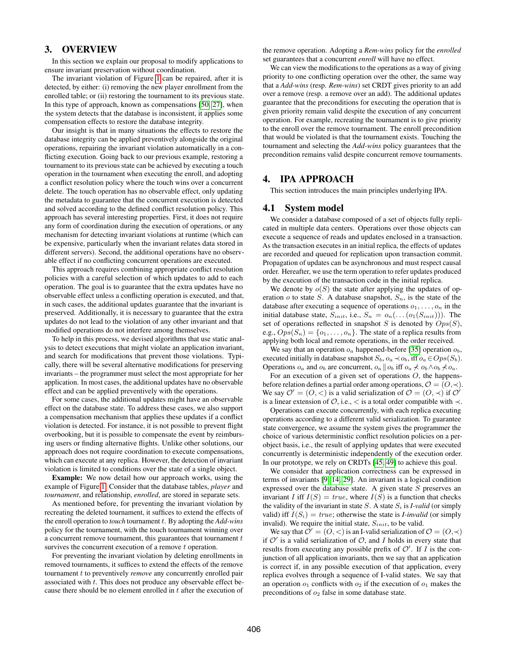# <span id="page-2-0"></span>3. OVERVIEW

In this section we explain our proposal to modify applications to ensure invariant preservation without coordination.

The invariant violation of Figure [1](#page-1-1) can be repaired, after it is detected, by either: (i) removing the new player enrollment from the enrolled table; or (ii) restoring the tournament to its previous state. In this type of approach, known as compensations [\[50,](#page-13-9) [27\]](#page-12-12), when the system detects that the database is inconsistent, it applies some compensation effects to restore the database integrity.

Our insight is that in many situations the effects to restore the database integrity can be applied preventively alongside the original operations, repairing the invariant violation automatically in a conflicting execution. Going back to our previous example, restoring a tournament to its previous state can be achieved by executing a touch operation in the tournament when executing the enroll, and adopting a conflict resolution policy where the touch wins over a concurrent delete. The touch operation has no observable effect, only updating the metadata to guarantee that the concurrent execution is detected and solved according to the defined conflict resolution policy. This approach has several interesting properties. First, it does not require any form of coordination during the execution of operations, or any mechanism for detecting invariant violations at runtime (which can be expensive, particularly when the invariant relates data stored in different servers). Second, the additional operations have no observable effect if no conflicting concurrent operations are executed.

This approach requires combining appropriate conflict resolution policies with a careful selection of which updates to add to each operation. The goal is to guarantee that the extra updates have no observable effect unless a conflicting operation is executed, and that, in such cases, the additional updates guarantee that the invariant is preserved. Additionally, it is necessary to guarantee that the extra updates do not lead to the violation of any other invariant and that modified operations do not interfere among themselves.

To help in this process, we devised algorithms that use static analysis to detect executions that might violate an application invariant, and search for modifications that prevent those violations. Typically, there will be several alternative modifications for preserving invariants – the programmer must select the most appropriate for her application. In most cases, the additional updates have no observable effect and can be applied preventively with the operations.

For some cases, the additional updates might have an observable effect on the database state. To address these cases, we also support a compensation mechanism that applies these updates if a conflict violation is detected. For instance, it is not possible to prevent flight overbooking, but it is possible to compensate the event by reimbursing users or finding alternative flights. Unlike other solutions, our approach does not require coordination to execute compensations, which can execute at any replica. However, the detection of invariant violation is limited to conditions over the state of a single object.

Example: We now detail how our approach works, using the example of Figure [1.](#page-1-1) Consider that the database tables, *player* and *tournament*, and relationship, *enrolled*, are stored in separate sets.

As mentioned before, for preventing the invariant violation by recreating the deleted tournament, it suffices to extend the effects of the enroll operation to *touch* tournament t. By adopting the *Add-wins* policy for the tournament, with the touch tournament winning over a concurrent remove tournament, this guarantees that tournament  $t$ survives the concurrent execution of a remove t operation.

For preventing the invariant violation by deleting enrollments in removed tournaments, it suffices to extend the effects of the remove tournament t to preventively *remove* any concurrently enrolled pair associated with t. This does not produce any observable effect because there should be no element enrolled in t after the execution of the remove operation. Adopting a *Rem-wins* policy for the *enrolled* set guarantees that a concurrent *enroll* will have no effect.

We can view the modifications to the operations as a way of giving priority to one conflicting operation over the other, the same way that a *Add-wins* (resp. *Rem-wins*) set CRDT gives priority to an add over a remove (resp. a remove over an add). The additional updates guarantee that the preconditions for executing the operation that is given priority remain valid despite the execution of any concurrent operation. For example, recreating the tournament is to give priority to the enroll over the remove tournament. The enroll precondition that would be violated is that the tournament exists. Touching the tournament and selecting the *Add-wins* policy guarantees that the precondition remains valid despite concurrent remove tournaments.

### <span id="page-2-1"></span>4. IPA APPROACH

This section introduces the main principles underlying IPA.

### 4.1 System model

We consider a database composed of a set of objects fully replicated in multiple data centers. Operations over those objects can execute a sequence of reads and updates enclosed in a transaction. As the transaction executes in an initial replica, the effects of updates are recorded and queued for replication upon transaction commit. Propagation of updates can be asynchronous and must respect causal order. Hereafter, we use the term operation to refer updates produced by the execution of the transaction code in the initial replica.

We denote by  $o(S)$  the state after applying the updates of operation  $o$  to state S. A database snapshot,  $S_n$ , is the state of the database after executing a sequence of operations  $o_1, \ldots, o_n$  in the initial database state,  $S_{init}$ , i.e.,  $S_n = o_n(...(o_1(S_{init})))$ . The set of operations reflected in snapshot  $S$  is denoted by  $Ops(S)$ , e.g.,  $Ops(S_n) = \{o_1, \ldots, o_n\}$ . The state of a replica results from applying both local and remote operations, in the order received.

We say that an operation  $o_a$  happened-before [\[35\]](#page-13-13) operation  $o_b$ , executed initially in database snapshot  $S_b$ ,  $o_a \prec o_b$ , iff  $o_a \in Ops(S_b)$ . Operations  $o_a$  and  $o_b$  are concurrent,  $o_a || o_b$  iff  $o_a \nless o_b \wedge o_b \nless o_a$ .

For an execution of a given set of operations  $O$ , the happensbefore relation defines a partial order among operations,  $\mathcal{O} = (O, \prec)$ . We say  $\mathcal{O}' = (O, <)$  is a valid serialization of  $\mathcal{O} = (O, \prec)$  if  $\mathcal{O}'$ is a linear extension of  $\mathcal{O}$ , i.e.,  $\lt$  is a total order compatible with  $\lt$ .

Operations can execute concurrently, with each replica executing operations according to a different valid serialization. To guarantee state convergence, we assume the system gives the programmer the choice of various deterministic conflict resolution policies on a perobject basis, i.e., the result of applying updates that were executed concurrently is deterministic independently of the execution order. In our prototype, we rely on CRDTs [\[45,](#page-13-1) [49\]](#page-13-0) to achieve this goal.

We consider that application correctness can be expressed in terms of invariants [\[9,](#page-12-13) [14,](#page-12-6) [29\]](#page-13-14). An invariant is a logical condition expressed over the database state. A given state  $S$  preserves an invariant I iff  $I(S) = true$ , where  $I(S)$  is a function that checks the validity of the invariant in state  $S$ . A state  $S_i$  is *I-valid* (or simply valid) iff  $I(S_i) = true$ ; otherwise the state is *I-invalid* (or simply invalid). We require the initial state,  $S_{init}$ , to be valid.

We say that  $\mathcal{O}' = (O, \leq)$  is an I-valid serialization of  $\mathcal{O} = (O, \leq)$ if  $O'$  is a valid serialization of  $O$ , and I holds in every state that results from executing any possible prefix of  $\mathcal{O}'$ . If  $I$  is the conjunction of all application invariants, then we say that an application is correct if, in any possible execution of that application, every replica evolves through a sequence of I-valid states. We say that an operation  $o_1$  conflicts with  $o_2$  if the execution of  $o_1$  makes the preconditions of  $o_2$  false in some database state.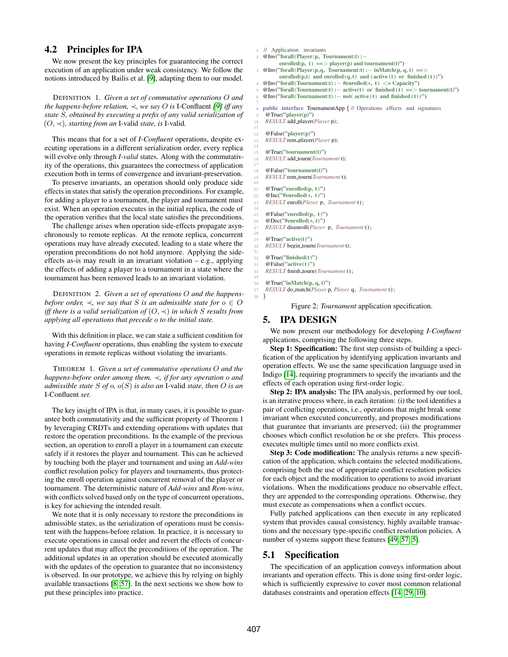# 4.2 Principles for IPA

We now present the key principles for guaranteeing the correct execution of an application under weak consistency. We follow the notions introduced by Bailis et al. [\[9\]](#page-12-13), adapting them to our model.

DEFINITION 1. *Given a set of commutative operations* O *and the happens-before relation,* ≺*, we say* O *is* I-Confluent *[\[9\]](#page-12-13) iff any state* S*, obtained by executing a prefix of any valid serialization of* (O, ≺)*, starting from an* I-valid *state, is* I-valid*.*

This means that for a set of *I-Confluent* operations, despite executing operations in a different serialization order, every replica will evolve only through *I-valid* states. Along with the commutativity of the operations, this guarantees the correctness of application execution both in terms of convergence and invariant-preservation.

To preserve invariants, an operation should only produce side effects in states that satisfy the operation preconditions. For example, for adding a player to a tournament, the player and tournament must exist. When an operation executes in the initial replica, the code of the operation verifies that the local state satisfies the preconditions.

The challenge arises when operation side-effects propagate asynchronously to remote replicas. At the remote replica, concurrent operations may have already executed, leading to a state where the operation preconditions do not hold anymore. Applying the sideeffects as-is may result in an invariant violation – e.g., applying the effects of adding a player to a tournament in a state where the tournament has been removed leads to an invariant violation.

DEFINITION 2. *Given a set of operations* O *and the happensbefore order,*  $\prec$ *, we say that* S *is an admissible state for*  $o \in O$ *iff there is a valid serialization of* (O, ≺) *in which* S *results from applying all operations that precede* o *to the initial state.*

With this definition in place, we can state a sufficient condition for having *I-Confluent* operations, thus enabling the system to execute operations in remote replicas without violating the invariants.

THEOREM 1. *Given a set of commutative operations* O *and the happens-before order among them,* ≺*, if for any operation* o *and admissible state* S *of* o*,* o(S) *is also an* I-valid *state, then* O *is an* I-Confluent *set.*

The key insight of IPA is that, in many cases, it is possible to guarantee both commutativity and the sufficient property of Theorem 1 by leveraging CRDTs and extending operations with updates that restore the operation preconditions. In the example of the previous section, an operation to enroll a player in a tournament can execute safely if it restores the player and tournament. This can be achieved by touching both the player and tournament and using an *Add-wins* conflict resolution policy for players and tournaments, thus protecting the enroll operation against concurrent removal of the player or tournament. The deterministic nature of *Add-wins* and *Rem-wins*, with conflicts solved based only on the type of concurrent operations, is key for achieving the intended result.

We note that it is only necessary to restore the preconditions in admissible states, as the serialization of operations must be consistent with the happens-before relation. In practice, it is necessary to execute operations in causal order and revert the effects of concurrent updates that may affect the preconditions of the operation. The additional updates in an operation should be executed atomically with the updates of the operation to guarantee that no inconsistency is observed. In our prototype, we achieve this by relying on highly available transactions [\[8,](#page-12-3) [57\]](#page-14-0). In the next sections we show how to put these principles into practice.

<span id="page-3-1"></span>// Application invariants

<span id="page-3-2"></span><sup>2</sup> @Inv("forall(Player:p, Tournament:t) :− enrolled(p, t)  $==$  player(p) and tournament(t)")  $\mathcal{Q}$ Inv("forall(Player:p,q, Tournament:t) :− inMatch(p, q, t) ==> enrolled(p,t) and enrolled(q,t) and ( active (t) or finished (t))")

<span id="page-3-5"></span><sup>4</sup> @Inv("forall(Tournament:t) :− #enrolled(\*, t) <= Capacity")

 $@Inv("for all(Tournament:t) :- active(t) or finished(t) == > tournament(t))"$ 

<sup>6</sup> @Inv("forall(Tournament:t) :− not( active (t) and finished (t))")

public interface TournamentApp { // Operations effects and signatures

9 @True("player(p)")

10 *RESULT* add player(*Player* p);

7

11

14

17

 $20$ 

24

28

31

35

12 **@False("player(p)")** 13 *RESULT* rem player(*Player* p);

15 @True("tournament(t)") 16 *RESULT* add tourn(*Tournament* t);

18 @False("tournament(t)") 19 *RESULT* rem tourn(*Tournament* t);

<span id="page-3-4"></span><span id="page-3-3"></span>21 @True("enrolled(p, t)") 22  $@Inc("Henrolled(*, t))"$ <br>
23 *RESULT* enroll(*Player* n 23 *RESULT* enroll(*Player* p, *Tournament* t ) ;

25 @False("enrolled(p, t)") 26  $@Dec("#enrolled(*, t))$ 27 *RESULT* disenroll(*Player* p, *Tournament* t ) ;

29  $\mathcal{Q}$ True("active(t)") 30 *RESULT* begin tourn(*Tournament* t);

32 **@True("finished(t)")** 

33 @False("active(t)")  $\overline{RESULT}$  finish\_tourn (*Tournament* t);

36 @True("inMatch(p, q, t)")

37 *RESULT* do match(*Player* p, *Player* q, *Tournament* t ) ;

38 }

Figure 2: *Tournament* application specification.

### <span id="page-3-0"></span>5. IPA DESIGN

We now present our methodology for developing *I-Confluent* applications, comprising the following three steps.

Step 1: Specification: The first step consists of building a specification of the application by identifying application invariants and operation effects. We use the same specification language used in Indigo [\[14\]](#page-12-6), requiring programmers to specify the invariants and the effects of each operation using first-order logic.

Step 2: IPA analysis: The IPA analysis, performed by our tool, is an iterative process where, in each iteration: (i) the tool identifies a pair of conflicting operations, i.e., operations that might break some invariant when executed concurrently, and proposes modifications that guarantee that invariants are preserved; (ii) the programmer chooses which conflict resolution he or she prefers. This process executes multiple times until no more conflicts exist.

Step 3: Code modification: The analysis returns a new specification of the application, which contains the selected modifications, comprising both the use of appropriate conflict resolution policies for each object and the modification to operations to avoid invariant violations. When the modifications produce no observable effect, they are appended to the corresponding operations. Otherwise, they must execute as compensations when a conflict occurs.

Fully patched applications can then execute in any replicated system that provides causal consistency, highly available transactions and the necessary type-specific conflict resolution policies. A number of systems support these features [\[49,](#page-13-0) [57,](#page-14-0) [5\]](#page-12-14).

### 5.1 Specification

The specification of an application conveys information about invariants and operation effects. This is done using first-order logic, which is sufficiently expressive to cover most common relational databases constraints and operation effects [\[14,](#page-12-6) [29,](#page-13-14) [10\]](#page-12-5).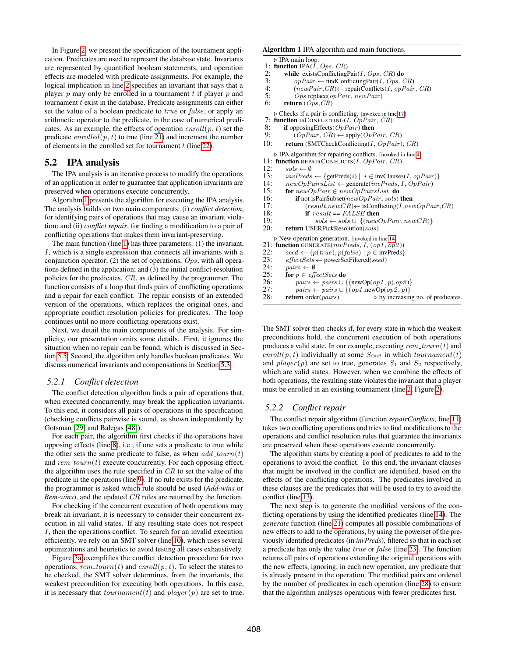In Figure [2,](#page-3-1) we present the specification of the tournament application. Predicates are used to represent the database state. Invariants are represented by quantified boolean statements, and operation effects are modeled with predicate assignments. For example, the logical implication in line [2](#page-3-2) specifies an invariant that says that a player  $p$  may only be enrolled in a tournament  $t$  if player  $p$  and tournament  $t$  exist in the database. Predicate assignments can either set the value of a boolean predicate to true or false, or apply an arithmetic operator to the predicate, in the case of numerical predicates. As an example, the effects of operation  $envoll(p, t)$  set the predicate  $enrolled(p, t)$  to true (line [21\)](#page-3-3) and increment the number of elements in the enrolled set for tournament  $t$  (line [22\)](#page-3-4).

# <span id="page-4-2"></span>5.2 IPA analysis

The IPA analysis is an iterative process to modify the operations of an application in order to guarantee that application invariants are preserved when operations execute concurrently.

Algorithm [1](#page-4-0) presents the algorithm for executing the IPA analysis. The analysis builds on two main components: (i) *conflict detection*, for identifying pairs of operations that may cause an invariant violation; and (ii) *conflict repair*, for finding a modification to a pair of conflicting operations that makes them invariant-preserving.

<span id="page-4-1"></span>The main function (line [1\)](#page-4-0) has three parameters: (1) the invariant, I, which is a single expression that connects all invariants with a conjunction operator; (2) the set of operations,  $Ops$ , with all operations defined in the application; and (3) the initial conflict-resolution policies for the predicates, CR, as defined by the programmer. The function consists of a loop that finds pairs of conflicting operations and a repair for each conflict. The repair consists of an extended version of the operations, which replaces the original ones, and appropriate conflict resolution policies for predicates. The loop continues until no more conflicting operations exist.

Next, we detail the main components of the analysis. For simplicity, our presentation omits some details. First, it ignores the situation when no repair can be found, which is discussed in Section [5.5.](#page-7-1) Second, the algorithm only handles boolean predicates. We discuss numerical invariants and compensations in Section [5.3.](#page-6-0)

### *5.2.1 Conflict detection*

The conflict detection algorithm finds a pair of operations that, when executed concurrently, may break the application invariants. To this end, it considers all pairs of operations in the specification (checking conflicts pairwise is sound, as shown independently by Gotsman [\[29\]](#page-13-14) and Balegas [\[48\]](#page-13-15)).

For each pair, the algorithm first checks if the operations have opposing effects (line [8\)](#page-4-1), i.e., if one sets a predicate to true while the other sets the same predicate to false, as when  $add\_tourn(t)$ and  $rem\_tourn(t)$  execute concurrently. For each opposing effect, the algorithm uses the rule specified in  $CR$  to set the value of the predicate in the operations (line [9\)](#page-4-1). If no rule exists for the predicate, the programmer is asked which rule should be used (*Add-wins* or *Rem-wins*), and the updated CR rules are returned by the function.

For checking if the concurrent execution of both operations may break an invariant, it is necessary to consider their concurrent execution in all valid states. If any resulting state does not respect I, then the operations conflict. To search for an invalid execution efficiently, we rely on an SMT solver (line [10\)](#page-4-1), which uses several optimizations and heuristics to avoid testing all cases exhaustively.

Figure [3a](#page-5-0) exemplifies the conflict detection procedure for two operations, rem<sub>-tourn</sub> $(t)$  and enroll $(p, t)$ . To select the states to be checked, the SMT solver determines, from the invariants, the weakest precondition for executing both operations. In this case, it is necessary that  $tournament(t)$  and  $player(p)$  are set to true.

#### <span id="page-4-0"></span>Algorithm 1 IPA algorithm and main functions.

```
\triangleright IPA main loop.
```
- 1: **function** IPA( $\dot{I}$ , *Ops*, *CR*)<br>2: **while** existsConflicting
- 2: while existsConflictingPair(I, Ops, CR) do<br>3:  $\omega pPair \leftarrow \text{findConflicingPair}(I, \text{Obs}, \text{CB})$
- 3:  $opPair \leftarrow findConfictingPair(I, Ops, CR)$ <br>4:  $(newPair CR) \leftarrow repairConficts(I, opPair)$ 4:  $(newPair, CR) \leftarrow repairConflicts(I, opPair, CR)$ <br>5:  $Ops.replace(opPair, newPair)$
- 5:  $Ops.\text{replace}(opPair, newPair)$ <br>6: **return**  $(Ons, CR)$
- return  $(Ops, CR)$
- $\triangleright$  Checks if a pair is conflicting. [invoked in line [17\]](#page-4-1)

```
7: function ISCONFLICTING(I, OpPair, CR)
```
- 
- 8: if opposing Effects ( $OpPair$ ) then<br>9:  $OPPair$   $CR$   $\leftarrow$  apply ( $OnF$  $(\textit{OpPair}, \textit{CR}) \leftarrow \text{apply}(\textit{OpPair}, \textit{CR})$
- 10: return (SMTCheckConflicting(I,  $OpPair$ ),  $CR$ )

. IPA algorithm for repairing conflicts. [invoked in line [4\]](#page-4-1)

11: **function** REPAIRCONFLICTS(*I*, *OpPair*, *CR*)<br>12:  $sols \leftarrow \emptyset$ 

- $sols \leftarrow \emptyset$
- 
- 13:  $invPreds \leftarrow \{getPreds(i) | i \in invClass(I, opPair)\}$ <br>14:  $newOpPairsList \leftarrow generate(invPreds, I, OpPair)$
- 14:  $newOpPairsList \leftarrow generate(invPreds, I, OpPair)$ <br>15: **for**  $newOpPair \in newOpPairsList$  **do** for  $newOpPair \in newOpPairsList$  do
	-
- 16: **if** not isPairSubset( $newOpPair$ , sols) **then**<br>17:  $(result.newCR) \leftarrow \text{isConficting}(I, net)$ 17:  $(result, newCR) \leftarrow \text{isConficting}(I, newOpPair, CR)$ <br>18: **if**  $result == FALSE$  then
- 
- 18: if  $result = FALSE$  then<br>19:  $sols \leftarrow sols \cup \{(new)$ 19:  $sols \leftarrow sols \cup \{(newOpPair, newCR)\}$ <br>
20: **return** USERPickResolution(sols)
- return USERPickResolution(sols)
	- $\triangleright$  New operation generation. [invoked in line [14\]](#page-4-1)
- 
- 21: function GENERATE( $invPreds, I, (op1, op2)$ )<br>22:  $seed \leftarrow \{p(true), p(false) \mid p \in invPreds\}$
- 22:  $seed \leftarrow \{p(true), p(false) | p \in \text{invPreds}\}$ <br>
23:  $effectSets \leftarrow \text{powerSetFiltered}(seed)$ 23: effectSets ← powerSetFiltered(seed)<br>24: pairs ←  $\emptyset$
- 
- 24:  $pairs \leftarrow \emptyset$ <br>25: for  $p \in eff$
- 25: **for**  $p \in \text{effectSets}$  **do**<br>26:  $pairs \leftarrow \text{pairs} \cup \{$
- 26: pairs ← pairs ∪ {(newOp(op1, p),op2)}<br>27: pairs ← pairs ∪ {(op1.newOp(op2, p)}
- 27: pairs ← pairs ∪ {(op1,newOp(op2, p)}<br>28: **return** order(pairs) by increasin  $\triangleright$  by increasing no. of predicates.

The SMT solver then checks if, for every state in which the weakest preconditions hold, the concurrent execution of both operations produces a valid state. In our example, executing  $rem\_tourn(t)$  and enroll(p, t) individually at some  $S_{init}$  in which tournament(t) and  $player(p)$  are set to true, generates  $S_1$  and  $S_2$  respectively, which are valid states. However, when we combine the effects of both operations, the resulting state violates the invariant that a player must be enrolled in an existing tournament (line [2,](#page-3-2) Figure [2\)](#page-3-1).

### *5.2.2 Conflict repair*

The conflict repair algorithm (function *repairConflicts*, line [11\)](#page-4-1) takes two conflicting operations and tries to find modifications to the operations and conflict resolution rules that guarantee the invariants are preserved when these operations execute concurrently.

The algorithm starts by creating a pool of predicates to add to the operations to avoid the conflict. To this end, the invariant clauses that might be involved in the conflict are identified, based on the effects of the conflicting operations. The predicates involved in these clauses are the predicates that will be used to try to avoid the conflict (line [13\)](#page-4-1).

The next step is to generate the modified versions of the conflicting operations by using the identified predicates (line [14\)](#page-4-1). The *generate* function (line [21\)](#page-4-1) computes all possible combinations of new effects to add to the operations, by using the powerset of the previously identified predicates (in *invPreds*), filtered so that in each set a predicate has only the value true or false (line [23\)](#page-4-1). The function returns all pairs of operations extending the original operations with the new effects, ignoring, in each new operation, any predicate that is already present in the operation. The modified pairs are ordered by the number of predicates in each operation (line [28\)](#page-4-1) to ensure that the algorithm analyses operations with fewer predicates first.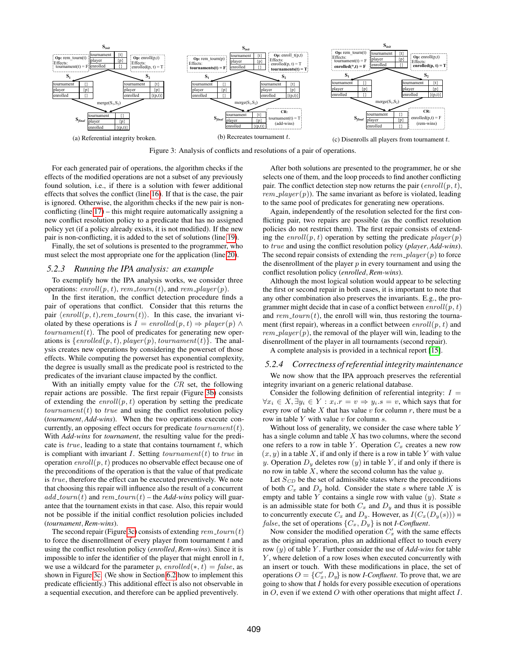<span id="page-5-0"></span>

Figure 3: Analysis of conflicts and resolutions of a pair of operations.

For each generated pair of operations, the algorithm checks if the effects of the modified operations are not a subset of any previously found solution, i.e., if there is a solution with fewer additional effects that solves the conflict (line [16\)](#page-4-1). If that is the case, the pair is ignored. Otherwise, the algorithm checks if the new pair is nonconflicting (line [17\)](#page-4-1) – this might require automatically assigning a new conflict resolution policy to a predicate that has no assigned policy yet (if a policy already exists, it is not modified). If the new pair is non-conflicting, it is added to the set of solutions (line [19\)](#page-4-1).

Finally, the set of solutions is presented to the programmer, who must select the most appropriate one for the application (line [20\)](#page-4-1).

#### *5.2.3 Running the IPA analysis: an example*

To exemplify how the IPA analysis works, we consider three operations: enroll(p, t), rem\_tourn(t), and rem\_player(p).

In the first iteration, the conflict detection procedure finds a pair of operations that conflict. Consider that this returns the pair  $\langle \text{envoll}(p, t), \text{rem\_tourn}(t) \rangle$ . In this case, the invariant violated by these operations is  $I = enrolled(p, t) \Rightarrow player(p) \land$  $tournament(t)$ . The pool of predicates for generating new operations is  $\{enrolled(p, t), player(p), tournament(t)\}.$  The analysis creates new operations by considering the powerset of those effects. While computing the powerset has exponential complexity, the degree is usually small as the predicate pool is restricted to the predicates of the invariant clause impacted by the conflict.

With an initially empty value for the  $CR$  set, the following repair actions are possible. The first repair (Figure [3b\)](#page-5-0) consists of extending the  $enroll(p, t)$  operation by setting the predicate  $tournament(t)$  to true and using the conflict resolution policy (*tournament*, *Add-wins*). When the two operations execute concurrently, an opposing effect occurs for predicate  $tournament(t)$ . With *Add-wins* for *tournament*, the resulting value for the predicate is  $true$ , leading to a state that contains tournament  $t$ , which is compliant with invariant  $I$ . Setting  $tournament(t)$  to  $true$  in operation  $enroll(p, t)$  produces no observable effect because one of the preconditions of the operation is that the value of that predicate is true, therefore the effect can be executed preventively. We note that choosing this repair will influence also the result of a concurrent  $add\_tourn(t)$  and rem  $_tourn(t)$  – the *Add-wins* policy will guarantee that the tournament exists in that case. Also, this repair would not be possible if the initial conflict resolution policies included (*tournament*, *Rem-wins*).

The second repair (Figure [3c\)](#page-5-0) consists of extending  $rem\_tourn(t)$ to force the disenrollment of every player from tournament  $t$  and using the conflict resolution policy (*enrolled*, *Rem-wins*). Since it is impossible to infer the identifier of the player that might enroll in  $t$ , we use a wildcard for the parameter p,  $enrolled(*, t) = false$ , as shown in Figure [3c.](#page-5-0) (We show in Section [6.2](#page-7-2) how to implement this predicate efficiently.) This additional effect is also not observable in a sequential execution, and therefore can be applied preventively.

After both solutions are presented to the programmer, he or she selects one of them, and the loop proceeds to find another conflicting pair. The conflict detection step now returns the pair  $(enroll(p, t),$ *rem player* (p)). The same invariant as before is violated, leading to the same pool of predicates for generating new operations.

Again, independently of the resolution selected for the first conflicting pair, two repairs are possible (as the conflict resolution policies do not restrict them). The first repair consists of extending the  $enroll(p, t)$  operation by setting the predicate  $player(p)$ to true and using the conflict resolution policy (*player*, *Add-wins*). The second repair consists of extending the  $rem\_player(p)$  to force the disenrollment of the player  $p$  in every tournament and using the conflict resolution policy (*enrolled*, *Rem-wins*).

Although the most logical solution would appear to be selecting the first or second repair in both cases, it is important to note that any other combination also preserves the invariants. E.g., the programmer might decide that in case of a conflict between  $enroll(p, t)$ and rem  $tourn(t)$ , the enroll will win, thus restoring the tournament (first repair), whereas in a conflict between  $enroll(p, t)$  and  $rem\_player(p)$ , the removal of the player will win, leading to the disenrollment of the player in all tournaments (second repair).

A complete analysis is provided in a technical report [\[15\]](#page-12-15).

### *5.2.4 Correctness of referential integrity maintenance*

We now show that the IPA approach preserves the referential integrity invariant on a generic relational database.

Consider the following definition of referential integrity:  $I =$  $\forall x_i \in X, \exists y_i \in Y : x_i.r = v \Rightarrow y_i.s = v$ , which says that for every row of table  $X$  that has value  $v$  for column  $r$ , there must be a row in table  $Y$  with value  $v$  for column  $s$ .

Without loss of generality, we consider the case where table Y has a single column and table  $X$  has two columns, where the second one refers to a row in table Y. Operation  $C_x$  creates a new row  $(x, y)$  in a table X, if and only if there is a row in table Y with value y. Operation  $D_y$  deletes row  $(y)$  in table Y, if and only if there is no row in table  $X$ , where the second column has the value  $y$ .

Let  $S_{CD}$  be the set of admissible states where the preconditions of both  $C_x$  and  $D_y$  hold. Consider the state s where table X is empty and table  $Y$  contains a single row with value  $(y)$ . State  $s$ is an admissible state for both  $C_x$  and  $D_y$  and thus it is possible to concurrently execute  $C_x$  and  $D_y$ . However, as  $I(C_x(D_y(s)))$  = *false*, the set of operations  $\{C_x, D_y\}$  is not *I-Confluent*.

Now consider the modified operation  $C'_x$  with the same effects as the original operation, plus an additional effect to touch every row (y) of table Y . Further consider the use of *Add-wins* for table Y, where deletion of a row loses when executed concurrently with an insert or touch. With these modifications in place, the set of operations  $O = \{C'_x, D_y\}$  is now *I-Confluent*. To prove that, we are going to show that I holds for every possible execution of operations in  $O$ , even if we extend  $O$  with other operations that might affect  $I$ .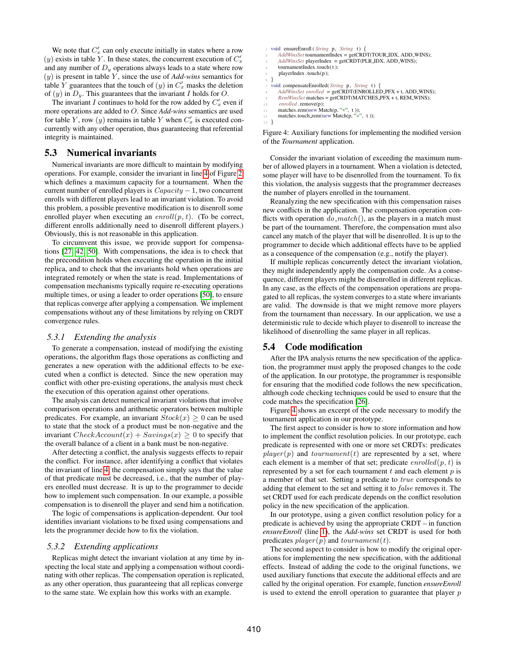We note that  $C'_x$  can only execute initially in states where a row (y) exists in table Y. In these states, the concurrent execution of  $C'_x$ and any number of  $D<sub>y</sub>$  operations always leads to a state where row (y) is present in table Y , since the use of *Add-wins* semantics for table Y guarantees that the touch of  $(y)$  in  $C'_x$  masks the deletion of  $(y)$  in  $D_y$ . This guarantees that the invariant I holds for O.

The invariant I continues to hold for the row added by  $C'_x$  even if more operations are added to O. Since *Add-wins* semantics are used for table Y, row  $(y)$  remains in table Y when  $C'_x$  is executed concurrently with any other operation, thus guaranteeing that referential integrity is maintained.

### <span id="page-6-0"></span>5.3 Numerical invariants

Numerical invariants are more difficult to maintain by modifying operations. For example, consider the invariant in line [4](#page-3-5) of Figure [2,](#page-3-1) which defines a maximum capacity for a tournament. When the current number of enrolled players is  $Capacity - 1$ , two concurrent enrolls with different players lead to an invariant violation. To avoid this problem, a possible preventive modification is to disenroll some enrolled player when executing an  $enroll(p, t)$ . (To be correct, different enrolls additionally need to disenroll different players.) Obviously, this is not reasonable in this application.

To circumvent this issue, we provide support for compensations [\[27,](#page-12-12) [42,](#page-13-16) [50\]](#page-13-9). With compensations, the idea is to check that the precondition holds when executing the operation in the initial replica, and to check that the invariants hold when operations are integrated remotely or when the state is read. Implementations of compensation mechanisms typically require re-executing operations multiple times, or using a leader to order operations [\[50\]](#page-13-9), to ensure that replicas converge after applying a compensation. We implement compensations without any of these limitations by relying on CRDT convergence rules.

#### *5.3.1 Extending the analysis*

To generate a compensation, instead of modifying the existing operations, the algorithm flags those operations as conflicting and generates a new operation with the additional effects to be executed when a conflict is detected. Since the new operation may conflict with other pre-existing operations, the analysis must check the execution of this operation against other operations.

The analysis can detect numerical invariant violations that involve comparison operations and arithmetic operators between multiple predicates. For example, an invariant  $Stock(x) \geq 0$  can be used to state that the stock of a product must be non-negative and the invariant  $CheckAccount(x) + Savings(x) \geq 0$  to specify that the overall balance of a client in a bank must be non-negative.

After detecting a conflict, the analysis suggests effects to repair the conflict. For instance, after identifying a conflict that violates the invariant of line [4,](#page-3-5) the compensation simply says that the value of that predicate must be decreased, i.e., that the number of players enrolled must decrease. It is up to the programmer to decide how to implement such compensation. In our example, a possible compensation is to disenroll the player and send him a notification.

The logic of compensations is application-dependent. Our tool identifies invariant violations to be fixed using compensations and lets the programmer decide how to fix the violation.

### *5.3.2 Extending applications*

Replicas might detect the invariant violation at any time by inspecting the local state and applying a compensation without coordinating with other replicas. The compensation operation is replicated, as any other operation, thus guaranteeing that all replicas converge to the same state. We explain how this works with an example.

```
<sup>1</sup> void ensureEnroll ( String p, String t) {<br>
2 AddWinsSet tournamentIndex = getCRDT(TOUR_IDX, ADD_WINS);
        AddWinsSet playerIndex = getCRDT(PLR_IDX, ADD_WINS);
       tournamentIndex.touch(t);
        playerIndex .touch(p);
    6 }
    void compensateEnrolled( String p, String t) {
       8 AddWinsSet enrolled = getCRDT(ENROLLED PFX + t, ADD WINS);
       RemWinsSet matches = getCRDT(MATCHES_PFX + t, REM_WINS);
10 enrolled . remove(p);
\begin{array}{ll}\n\text{indches.rem(new Match}(p, "*,")\n\text{indches.} \quad \text{fnew Match}(p, "*,")\n\end{array}matches.touch_rem(new Match(p, "*", t ));
13 }
```
<span id="page-6-6"></span><span id="page-6-5"></span><span id="page-6-4"></span>Figure 4: Auxiliary functions for implementing the modified version of the *Tournament* application.

Consider the invariant violation of exceeding the maximum number of allowed players in a tournament. When a violation is detected, some player will have to be disenrolled from the tournament. To fix this violation, the analysis suggests that the programmer decreases the number of players enrolled in the tournament.

Reanalyzing the new specification with this compensation raises new conflicts in the application. The compensation operation conflicts with operation  $do\_match()$ , as the players in a match must be part of the tournament. Therefore, the compensation must also cancel any match of the player that will be disenrolled. It is up to the programmer to decide which additional effects have to be applied as a consequence of the compensation (e.g., notify the player).

If multiple replicas concurrently detect the invariant violation, they might independently apply the compensation code. As a consequence, different players might be disenrolled in different replicas. In any case, as the effects of the compensation operations are propagated to all replicas, the system converges to a state where invariants are valid. The downside is that we might remove more players from the tournament than necessary. In our application, we use a deterministic rule to decide which player to disenroll to increase the likelihood of disenrolling the same player in all replicas.

### 5.4 Code modification

After the IPA analysis returns the new specification of the application, the programmer must apply the proposed changes to the code of the application. In our prototype, the programmer is responsible for ensuring that the modified code follows the new specification, although code checking techniques could be used to ensure that the code matches the specification [\[26\]](#page-12-16).

Figure [4](#page-6-1) shows an excerpt of the code necessary to modify the tournament application in our prototype.

The first aspect to consider is how to store information and how to implement the conflict resolution policies. In our prototype, each predicate is represented with one or more set CRDTs: predicates  $player(p)$  and  $tournament(t)$  are represented by a set, where each element is a member of that set; predicate  $enrolled(p, t)$  is represented by a set for each tournament  $t$  and each element  $p$  is a member of that set. Setting a predicate to true corresponds to adding that element to the set and setting it to false removes it. The set CRDT used for each predicate depends on the conflict resolution policy in the new specification of the application.

In our prototype, using a given conflict resolution policy for a predicate is achieved by using the appropriate CRDT – in function *ensureEnroll* (line [1\)](#page-6-2), the *Add-wins* set CRDT is used for both predicates  $player(p)$  and  $tournament(t)$ .

The second aspect to consider is how to modify the original operations for implementing the new specification, with the additional effects. Instead of adding the code to the original functions, we used auxiliary functions that execute the additional effects and are called by the original operation. For example, function *ensureEnroll* is used to extend the enroll operation to guarantee that player p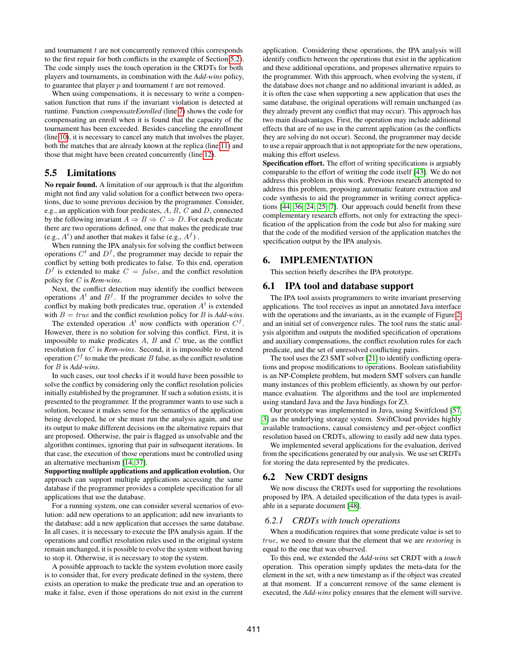and tournament  $t$  are not concurrently removed (this corresponds to the first repair for both conflicts in the example of Section [5.2\)](#page-4-2). The code simply uses the touch operation in the CRDTs for both players and tournaments, in combination with the *Add-wins* policy, to guarantee that player  $p$  and tournament  $t$  are not removed.

When using compensations, it is necessary to write a compensation function that runs if the invariant violation is detected at runtime. Function *compensateEnrolled* (line [7\)](#page-6-3) shows the code for compensating an enroll when it is found that the capacity of the tournament has been exceeded. Besides canceling the enrollment (line [10\)](#page-6-4), it is necessary to cancel any match that involves the player, both the matches that are already known at the replica (line [11\)](#page-6-5) and those that might have been created concurrently (line [12\)](#page-6-6).

# <span id="page-7-1"></span>5.5 Limitations

No repair found. A limitation of our approach is that the algorithm might not find any valid solution for a conflict between two operations, due to some previous decision by the programmer. Consider, e.g., an application with four predicates,  $A, B, C$  and  $D$ , connected by the following invariant  $A \Rightarrow B \Rightarrow C \Rightarrow D$ . For each predicate there are two operations defined, one that makes the predicate true (e.g.,  $A<sup>t</sup>$ ) and another that makes it false (e.g.,  $A<sup>f</sup>$ ).

When running the IPA analysis for solving the conflict between operations  $C^t$  and  $D^f$ , the programmer may decide to repair the conflict by setting both predicates to false. To this end, operation  $D<sup>f</sup>$  is extended to make  $C = false$ , and the conflict resolution policy for C is *Rem-wins*.

Next, the conflict detection may identify the conflict between operations  $A<sup>t</sup>$  and  $B<sup>f</sup>$ . If the programmer decides to solve the conflict by making both predicates true, operation  $A<sup>t</sup>$  is extended with  $B = true$  and the conflict resolution policy for B is  $Add\text{-}wins$ .

The extended operation  $A<sup>t</sup>$  now conflicts with operation  $C<sup>f</sup>$ . However, there is no solution for solving this conflict. First, it is impossible to make predicates  $A$ ,  $B$  and  $C$  true, as the conflict resolution for C is *Rem-wins*. Second, it is impossible to extend operation  $C^f$  to make the predicate B false, as the conflict resolution for B is *Add-wins*.

In such cases, our tool checks if it would have been possible to solve the conflict by considering only the conflict resolution policies initially established by the programmer. If such a solution exists, it is presented to the programmer. If the programmer wants to use such a solution, because it makes sense for the semantics of the application being developed, he or she must run the analysis again, and use its output to make different decisions on the alternative repairs that are proposed. Otherwise, the pair is flagged as unsolvable and the algorithm continues, ignoring that pair in subsequent iterations. In that case, the execution of those operations must be controlled using an alternative mechanism [\[14,](#page-12-6) [37\]](#page-13-6).

Supporting multiple applications and application evolution. Our approach can support multiple applications accessing the same database if the programmer provides a complete specification for all applications that use the database.

For a running system, one can consider several scenarios of evolution: add new operations to an application; add new invariants to the database; add a new application that accesses the same database. In all cases, it is necessary to execute the IPA analysis again. If the operations and conflict resolution rules used in the original system remain unchanged, it is possible to evolve the system without having to stop it. Otherwise, it is necessary to stop the system.

A possible approach to tackle the system evolution more easily is to consider that, for every predicate defined in the system, there exists an operation to make the predicate true and an operation to make it false, even if those operations do not exist in the current application. Considering these operations, the IPA analysis will identify conflicts between the operations that exist in the application and these additional operations, and proposes alternative repairs to the programmer. With this approach, when evolving the system, if the database does not change and no additional invariant is added, as it is often the case when supporting a new application that uses the same database, the original operations will remain unchanged (as they already prevent any conflict that may occur). This approach has two main disadvantages. First, the operation may include additional effects that are of no use in the current application (as the conflicts they are solving do not occur). Second, the programmer may decide to use a repair approach that is not appropriate for the new operations, making this effort useless.

Specification effort. The effort of writing specifications is arguably comparable to the effort of writing the code itself [\[43\]](#page-13-17). We do not address this problem in this work. Previous research attempted to address this problem, proposing automatic feature extraction and code synthesis to aid the programmer in writing correct applications [\[44,](#page-13-8) [36,](#page-13-7) [24,](#page-12-17) [25,](#page-12-18) [7\]](#page-12-19). Our approach could benefit from these complementary research efforts, not only for extracting the specification of the application from the code but also for making sure that the code of the modified version of the application matches the specification output by the IPA analysis.

# <span id="page-7-0"></span>6. IMPLEMENTATION

This section briefly describes the IPA prototype.

### 6.1 IPA tool and database support

The IPA tool assists programmers to write invariant preserving applications. The tool receives as input an annotated Java interface with the operations and the invariants, as in the example of Figure [2,](#page-3-1) and an initial set of convergence rules. The tool runs the static analysis algorithm and outputs the modified specification of operations and auxiliary compensations, the conflict resolution rules for each predicate, and the set of unresolved conflicting pairs.

The tool uses the Z3 SMT solver [\[21\]](#page-12-20) to identify conflicting operations and propose modifications to operations. Boolean satisfiability is an NP-Complete problem, but modern SMT solvers can handle many instances of this problem efficiently, as shown by our performance evaluation. The algorithms and the tool are implemented using standard Java and the Java bindings for Z3.

Our prototype was implemented in Java, using Switfcloud [\[57,](#page-14-0) [3\]](#page-12-21) as the underlying storage system. SwiftCloud provides highly available transactions, causal consistency and per-object conflict resolution based on CRDTs, allowing to easily add new data types.

We implemented several applications for the evaluation, derived from the specifications generated by our analysis. We use set CRDTs for storing the data represented by the predicates.

# <span id="page-7-2"></span>6.2 New CRDT designs

We now discuss the CRDTs used for supporting the resolutions proposed by IPA. A detailed specification of the data types is available in a separate document [\[48\]](#page-13-15).

#### *6.2.1 CRDTs with touch operations*

When a modification requires that some predicate value is set to true, we need to ensure that the element that we are *restoring* is equal to the one that was observed.

To this end, we extended the *Add-wins* set CRDT with a *touch* operation. This operation simply updates the meta-data for the element in the set, with a new timestamp as if the object was created at that moment. If a concurrent remove of the same element is executed, the *Add-wins* policy ensures that the element will survive.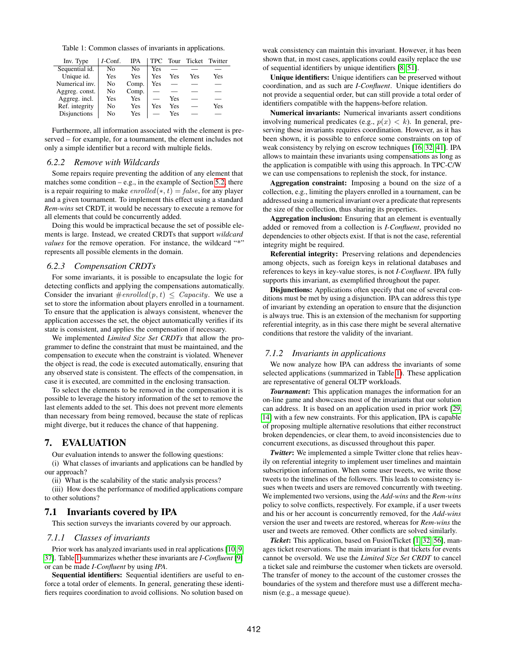<span id="page-8-1"></span>Table 1: Common classes of invariants in applications.

| Inv. Type      | I-Conf. | IPA   | <b>TPC</b> | Tour |     | Ticket Twitter |
|----------------|---------|-------|------------|------|-----|----------------|
| Sequential id. | No      | No    | Yes        |      |     |                |
| Unique id.     | Yes     | Yes   | Yes        | Yes  | Yes | Yes            |
| Numerical inv. | No      | Comp. | Yes        |      |     |                |
| Aggreg. const. | No      | Comp. |            |      |     |                |
| Aggreg. incl.  | Yes     | Yes   |            | Yes  |     |                |
| Ref. integrity | No      | Yes   | Yes        | Yes  |     | Yes            |
| Disjunctions   | Nο      | Yes   |            | Yes  |     |                |

Furthermore, all information associated with the element is preserved – for example, for a tournament, the element includes not only a simple identifier but a record with multiple fields.

#### *6.2.2 Remove with Wildcards*

Some repairs require preventing the addition of any element that matches some condition – e.g., in the example of Section [5.2,](#page-4-2) there is a repair requiring to make  $enrolled(*, t) = false$ , for any player and a given tournament. To implement this effect using a standard *Rem-wins* set CRDT, it would be necessary to execute a remove for all elements that could be concurrently added.

Doing this would be impractical because the set of possible elements is large. Instead, we created CRDTs that support *wildcard values* for the remove operation. For instance, the wildcard "\*" represents all possible elements in the domain.

### *6.2.3 Compensation CRDTs*

For some invariants, it is possible to encapsulate the logic for detecting conflicts and applying the compensations automatically. Consider the invariant  $#enrolled(p, t) \leq Capacity$ . We use a set to store the information about players enrolled in a tournament. To ensure that the application is always consistent, whenever the application accesses the set, the object automatically verifies if its state is consistent, and applies the compensation if necessary.

We implemented *Limited Size Set CRDTs* that allow the programmer to define the constraint that must be maintained, and the compensation to execute when the constraint is violated. Whenever the object is read, the code is executed automatically, ensuring that any observed state is consistent. The effects of the compensation, in case it is executed, are committed in the enclosing transaction.

To select the elements to be removed in the compensation it is possible to leverage the history information of the set to remove the last elements added to the set. This does not prevent more elements than necessary from being removed, because the state of replicas might diverge, but it reduces the chance of that happening.

# <span id="page-8-0"></span>7. EVALUATION

Our evaluation intends to answer the following questions: (i) What classes of invariants and applications can be handled by our approach?

(ii) What is the scalability of the static analysis process?

(iii) How does the performance of modified applications compare to other solutions?

### 7.1 Invariants covered by IPA

This section surveys the invariants covered by our approach.

#### *7.1.1 Classes of invariants*

Prior work has analyzed invariants used in real applications [\[10,](#page-12-5) [9,](#page-12-13) [37\]](#page-13-6). Table [1](#page-8-1) summarizes whether these invariants are *I-Confluent* [\[9\]](#page-12-13) or can be made *I-Confluent* by using *IPA*.

Sequential identifiers: Sequential identifiers are useful to enforce a total order of elements. In general, generating these identifiers requires coordination to avoid collisions. No solution based on weak consistency can maintain this invariant. However, it has been shown that, in most cases, applications could easily replace the use of sequential identifiers by unique identifiers [\[8,](#page-12-3) [51\]](#page-13-18).

Unique identifiers: Unique identifiers can be preserved without coordination, and as such are *I-Confluent*. Unique identifiers do not provide a sequential order, but can still provide a total order of identifiers compatible with the happens-before relation.

Numerical invariants: Numerical invariants assert conditions involving numerical predicates (e.g.,  $p(x) < k$ ). In general, preserving these invariants requires coordination. However, as it has been shown, it is possible to enforce some constraints on top of weak consistency by relying on escrow techniques [\[16,](#page-12-22) [32,](#page-13-4) [41\]](#page-13-19). IPA allows to maintain these invariants using compensations as long as the application is compatible with using this approach. In TPC-C/W we can use compensations to replenish the stock, for instance.

Aggregation constraint: Imposing a bound on the size of a collection, e.g., limiting the players enrolled in a tournament, can be addressed using a numerical invariant over a predicate that represents the size of the collection, thus sharing its properties.

Aggregation inclusion: Ensuring that an element is eventually added or removed from a collection is *I-Confluent*, provided no dependencies to other objects exist. If that is not the case, referential integrity might be required.

Referential integrity: Preserving relations and dependencies among objects, such as foreign keys in relational databases and references to keys in key-value stores, is not *I-Confluent*. IPA fully supports this invariant, as exemplified throughout the paper.

Disjunctions: Applications often specify that one of several conditions must be met by using a disjunction. IPA can address this type of invariant by extending an operation to ensure that the disjunction is always true. This is an extension of the mechanism for supporting referential integrity, as in this case there might be several alternative conditions that restore the validity of the invariant.

### *7.1.2 Invariants in applications*

We now analyze how IPA can address the invariants of some selected applications (summarized in Table [1\)](#page-8-1). These application are representative of general OLTP workloads.

*Tournament*: This application manages the information for an on-line game and showcases most of the invariants that our solution can address. It is based on an application used in prior work [\[29,](#page-13-14) [14\]](#page-12-6) with a few new constraints. For this application, IPA is capable of proposing multiple alternative resolutions that either reconstruct broken dependencies, or clear them, to avoid inconsistencies due to concurrent executions, as discussed throughout this paper.

*Twitter*: We implemented a simple Twitter clone that relies heavily on referential integrity to implement user timelines and maintain subscription information. When some user tweets, we write those tweets to the timelines of the followers. This leads to consistency issues when tweets and users are removed concurrently with tweeting. We implemented two versions, using the *Add-wins* and the *Rem-wins* policy to solve conflicts, respectively. For example, if a user tweets and his or her account is concurrently removed, for the *Add-wins* version the user and tweets are restored, whereas for *Rem-wins* the user and tweets are removed. Other conflicts are solved similarly.

*Ticket*: This application, based on FusionTicket [\[1,](#page-12-23) [32,](#page-13-4) [56\]](#page-13-20), manages ticket reservations. The main invariant is that tickets for events cannot be oversold. We use the *Limited Size Set CRDT* to cancel a ticket sale and reimburse the customer when tickets are oversold. The transfer of money to the account of the customer crosses the boundaries of the system and therefore must use a different mechanism (e.g., a message queue).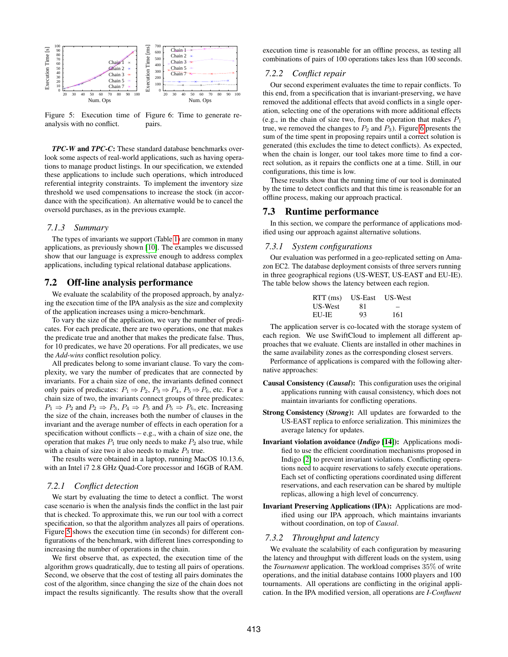<span id="page-9-0"></span>

Figure 5: Execution time of Figure 6: Time to generate reanalysis with no conflict. pairs.

*TPC-W* and *TPC-C*: These standard database benchmarks overlook some aspects of real-world applications, such as having operations to manage product listings. In our specification, we extended these applications to include such operations, which introduced referential integrity constraints. To implement the inventory size threshold we used compensations to increase the stock (in accordance with the specification). An alternative would be to cancel the oversold purchases, as in the previous example.

### *7.1.3 Summary*

The types of invariants we support (Table [1\)](#page-8-1) are common in many applications, as previously shown [\[10\]](#page-12-5). The examples we discussed show that our language is expressive enough to address complex applications, including typical relational database applications.

### 7.2 Off-line analysis performance

We evaluate the scalability of the proposed approach, by analyzing the execution time of the IPA analysis as the size and complexity of the application increases using a micro-benchmark.

To vary the size of the application, we vary the number of predicates. For each predicate, there are two operations, one that makes the predicate true and another that makes the predicate false. Thus, for 10 predicates, we have 20 operations. For all predicates, we use the *Add-wins* conflict resolution policy.

All predicates belong to some invariant clause. To vary the complexity, we vary the number of predicates that are connected by invariants. For a chain size of one, the invariants defined connect only pairs of predicates:  $P_1 \Rightarrow P_2$ ,  $P_3 \Rightarrow P_4$ ,  $P_5 \Rightarrow P_6$ , etc. For a chain size of two, the invariants connect groups of three predicates:  $P_1 \Rightarrow P_2$  and  $P_2 \Rightarrow P_3$ ,  $P_4 \Rightarrow P_5$  and  $P_5 \Rightarrow P_6$ , etc. Increasing the size of the chain, increases both the number of clauses in the invariant and the average number of effects in each operation for a specification without conflicts  $-$  e.g., with a chain of size one, the operation that makes  $P_1$  true only needs to make  $P_2$  also true, while with a chain of size two it also needs to make  $P_3$  true.

The results were obtained in a laptop, running MacOS 10.13.6, with an Intel i7 2.8 GHz Quad-Core processor and 16GB of RAM.

### *7.2.1 Conflict detection*

We start by evaluating the time to detect a conflict. The worst case scenario is when the analysis finds the conflict in the last pair that is checked. To approximate this, we run our tool with a correct specification, so that the algorithm analyzes all pairs of operations. Figure [5](#page-9-0) shows the execution time (in seconds) for different configurations of the benchmark, with different lines corresponding to increasing the number of operations in the chain.

We first observe that, as expected, the execution time of the algorithm grows quadratically, due to testing all pairs of operations. Second, we observe that the cost of testing all pairs dominates the cost of the algorithm, since changing the size of the chain does not impact the results significantly. The results show that the overall execution time is reasonable for an offline process, as testing all combinations of pairs of 100 operations takes less than 100 seconds.

### *7.2.2 Conflict repair*

Our second experiment evaluates the time to repair conflicts. To this end, from a specification that is invariant-preserving, we have removed the additional effects that avoid conflicts in a single operation, selecting one of the operations with more additional effects (e.g., in the chain of size two, from the operation that makes  $P_1$ true, we removed the changes to  $P_2$  and  $P_3$ ). Figure [6](#page-9-0) presents the sum of the time spent in proposing repairs until a correct solution is generated (this excludes the time to detect conflicts). As expected, when the chain is longer, our tool takes more time to find a correct solution, as it repairs the conflicts one at a time. Still, in our configurations, this time is low.

These results show that the running time of our tool is dominated by the time to detect conflicts and that this time is reasonable for an offline process, making our approach practical.

### 7.3 Runtime performance

In this section, we compare the performance of applications modified using our approach against alternative solutions.

### *7.3.1 System configurations*

Our evaluation was performed in a geo-replicated setting on Amazon EC2. The database deployment consists of three servers running in three geographical regions (US-WEST, US-EAST and EU-IE). The table below shows the latency between each region.

| $RTT$ (ms) | US-East | US-West |
|------------|---------|---------|
| US-West    | 81      | –       |
| EU-IE      | 93      | 161     |

The application server is co-located with the storage system of each region. We use SwiftCloud to implement all different approaches that we evaluate. Clients are installed in other machines in the same availability zones as the corresponding closest servers.

Performance of applications is compared with the following alternative approaches:

- Causal Consistency (*Causal*): This configuration uses the original applications running with causal consistency, which does not maintain invariants for conflicting operations.
- Strong Consistency (*Strong*): All updates are forwarded to the US-EAST replica to enforce serialization. This minimizes the average latency for updates.
- Invariant violation avoidance (*Indigo* [\[14\]](#page-12-6)): Applications modified to use the efficient coordination mechanisms proposed in Indigo [\[2\]](#page-12-24) to prevent invariant violations. Conflicting operations need to acquire reservations to safely execute operations. Each set of conflicting operations coordinated using different reservations, and each reservation can be shared by multiple replicas, allowing a high level of concurrency.
- Invariant Preserving Applications (IPA): Applications are modified using our IPA approach, which maintains invariants without coordination, on top of *Causal*.

### *7.3.2 Throughput and latency*

We evaluate the scalability of each configuration by measuring the latency and throughput with different loads on the system, using the *Tournament* application. The workload comprises 35% of write operations, and the initial database contains 1000 players and 100 tournaments. All operations are conflicting in the original application. In the IPA modified version, all operations are *I-Confluent*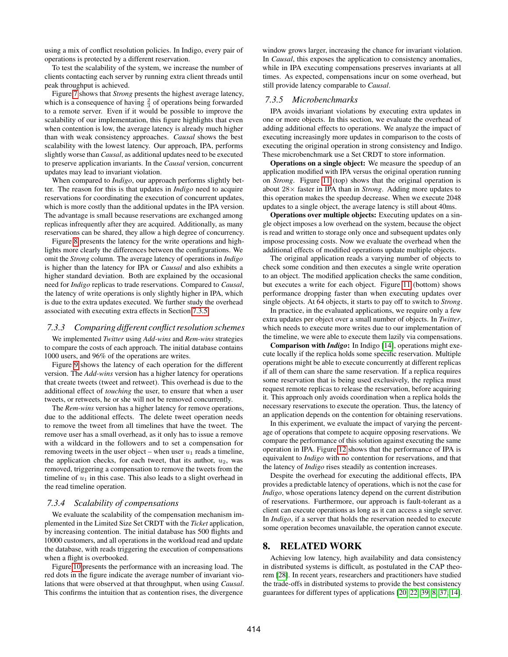using a mix of conflict resolution policies. In Indigo, every pair of operations is protected by a different reservation.

To test the scalability of the system, we increase the number of clients contacting each server by running extra client threads until peak throughput is achieved.

Figure [7](#page-11-1) shows that *Strong* presents the highest average latency, which is a consequence of having  $\frac{2}{3}$  of operations being forwarded to a remote server. Even if it would be possible to improve the scalability of our implementation, this figure highlights that even when contention is low, the average latency is already much higher than with weak consistency approaches. *Causal* shows the best scalability with the lowest latency. Our approach, IPA, performs slightly worse than *Causal*, as additional updates need to be executed to preserve application invariants. In the *Causal* version, concurrent updates may lead to invariant violation.

When compared to *Indigo*, our approach performs slightly better. The reason for this is that updates in *Indigo* need to acquire reservations for coordinating the execution of concurrent updates, which is more costly than the additional updates in the IPA version. The advantage is small because reservations are exchanged among replicas infrequently after they are acquired. Additionally, as many reservations can be shared, they allow a high degree of concurrency.

Figure [8](#page-11-1) presents the latency for the write operations and highlights more clearly the differences between the configurations. We omit the *Strong* column. The average latency of operations in *Indigo* is higher than the latency for IPA or *Causal* and also exhibits a higher standard deviation. Both are explained by the occasional need for *Indigo* replicas to trade reservations. Compared to *Causal*, the latency of write operations is only slightly higher in IPA, which is due to the extra updates executed. We further study the overhead associated with executing extra effects in Section [7.3.5.](#page-10-1)

#### *7.3.3 Comparing different conflict resolution schemes*

We implemented *Twitter* using *Add-wins* and *Rem-wins* strategies to compare the costs of each approach. The initial database contains 1000 users, and 96% of the operations are writes.

Figure [9](#page-11-1) shows the latency of each operation for the different version. The *Add-wins* version has a higher latency for operations that create tweets (tweet and retweet). This overhead is due to the additional effect of *touching* the user, to ensure that when a user tweets, or retweets, he or she will not be removed concurrently.

The *Rem-wins* version has a higher latency for remove operations, due to the additional effects. The delete tweet operation needs to remove the tweet from all timelines that have the tweet. The remove user has a small overhead, as it only has to issue a remove with a wildcard in the followers and to set a compensation for removing tweets in the user object – when user  $u_1$  reads a timeline, the application checks, for each tweet, that its author,  $u_2$ , was removed, triggering a compensation to remove the tweets from the timeline of  $u_1$  in this case. This also leads to a slight overhead in the read timeline operation.

# *7.3.4 Scalability of compensations*

We evaluate the scalability of the compensation mechanism implemented in the Limited Size Set CRDT with the *Ticket* application, by increasing contention. The initial database has 500 flights and 10000 customers, and all operations in the workload read and update the database, with reads triggering the execution of compensations when a flight is overbooked.

Figure [10](#page-11-2) presents the performance with an increasing load. The red dots in the figure indicate the average number of invariant violations that were observed at that throughput, when using *Causal*. This confirms the intuition that as contention rises, the divergence window grows larger, increasing the chance for invariant violation. In *Causal*, this exposes the application to consistency anomalies, while in IPA executing compensations preserves invariants at all times. As expected, compensations incur on some overhead, but still provide latency comparable to *Causal*.

### <span id="page-10-1"></span>*7.3.5 Microbenchmarks*

IPA avoids invariant violations by executing extra updates in one or more objects. In this section, we evaluate the overhead of adding additional effects to operations. We analyze the impact of executing increasingly more updates in comparison to the costs of executing the original operation in strong consistency and Indigo. These microbenchmark use a Set CRDT to store information.

Operations on a single object: We measure the speedup of an application modified with IPA versus the original operation running on *Strong*. Figure [11](#page-11-2) (top) shows that the original operation is about 28× faster in IPA than in *Strong*. Adding more updates to this operation makes the speedup decrease. When we execute 2048 updates to a single object, the average latency is still about 40ms.

Operations over multiple objects: Executing updates on a single object imposes a low overhead on the system, because the object is read and written to storage only once and subsequent updates only impose processing costs. Now we evaluate the overhead when the additional effects of modified operations update multiple objects.

The original application reads a varying number of objects to check some condition and then executes a single write operation to an object. The modified application checks the same condition, but executes a write for each object. Figure [11](#page-11-2) (bottom) shows performance dropping faster than when executing updates over single objects. At 64 objects, it starts to pay off to switch to *Strong*.

In practice, in the evaluated applications, we require only a few extra updates per object over a small number of objects. In *Twitter*, which needs to execute more writes due to our implementation of the timeline, we were able to execute them lazily via compensations.

Comparison with *Indigo*: In Indigo [\[14\]](#page-12-6), operations might execute locally if the replica holds some specific reservation. Multiple operations might be able to execute concurrently at different replicas if all of them can share the same reservation. If a replica requires some reservation that is being used exclusively, the replica must request remote replicas to release the reservation, before acquiring it. This approach only avoids coordination when a replica holds the necessary reservations to execute the operation. Thus, the latency of an application depends on the contention for obtaining reservations.

In this experiment, we evaluate the impact of varying the percentage of operations that compete to acquire opposing reservations. We compare the performance of this solution against executing the same operation in IPA. Figure [12](#page-11-2) shows that the performance of IPA is equivalent to *Indigo* with no contention for reservations, and that the latency of *Indigo* rises steadily as contention increases.

Despite the overhead for executing the additional effects, IPA provides a predictable latency of operations, which is not the case for *Indigo*, whose operations latency depend on the current distribution of reservations. Furthermore, our approach is fault-tolerant as a client can execute operations as long as it can access a single server. In *Indigo*, if a server that holds the reservation needed to execute some operation becomes unavailable, the operation cannot execute.

# <span id="page-10-0"></span>8. RELATED WORK

Achieving low latency, high availability and data consistency in distributed systems is difficult, as postulated in the CAP theorem [\[28\]](#page-12-25). In recent years, researchers and practitioners have studied the trade-offs in distributed systems to provide the best consistency guarantees for different types of applications [\[20,](#page-12-1) [22,](#page-12-0) [39,](#page-13-2) [8,](#page-12-3) [37,](#page-13-6) [14\]](#page-12-6).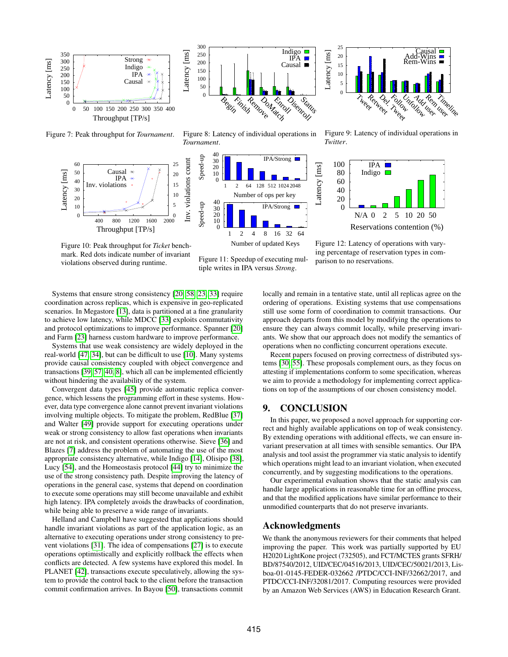<span id="page-11-1"></span>

Figure 7: Peak throughput for *Tournament*.

<span id="page-11-2"></span>

Figure 10: Peak throughput for *Ticket* benchmark. Red dots indicate number of invariant violations observed during runtime.



Figure 8: Latency of individual operations in *Tournament*.







Figure 9: Latency of individual operations in *Twitter*.



Figure 12: Latency of operations with varying percentage of reservation types in comparison to no reservations.

Systems that ensure strong consistency [\[20,](#page-12-1) [58,](#page-14-1) [23,](#page-12-26) [33\]](#page-13-21) require coordination across replicas, which is expensive in geo-replicated scenarios. In Megastore [\[13\]](#page-12-27), data is partitioned at a fine granularity to achieve low latency, while MDCC [\[33\]](#page-13-21) exploits commutativity and protocol optimizations to improve performance. Spanner [\[20\]](#page-12-1) and Farm [\[23\]](#page-12-26) harness custom hardware to improve performance.

Systems that use weak consistency are widely deployed in the real-world [\[47,](#page-13-22) [34\]](#page-13-11), but can be difficult to use [\[10\]](#page-12-5). Many systems provide causal consistency coupled with object convergence and transactions [\[39,](#page-13-2) [57,](#page-14-0) [40,](#page-13-3) [8\]](#page-12-3), which all can be implemented efficiently without hindering the availability of the system.

Convergent data types [\[45\]](#page-13-1) provide automatic replica convergence, which lessens the programming effort in these systems. However, data type convergence alone cannot prevent invariant violations involving multiple objects. To mitigate the problem, RedBlue [\[37\]](#page-13-6) and Walter [\[49\]](#page-13-0) provide support for executing operations under weak or strong consistency to allow fast operations when invariants are not at risk, and consistent operations otherwise. Sieve [\[36\]](#page-13-7) and Blazes [\[7\]](#page-12-19) address the problem of automating the use of the most appropriate consistency alternative, while Indigo [\[14\]](#page-12-6), Olisipo [\[38\]](#page-13-23), Lucy [\[54\]](#page-13-24), and the Homeostasis protocol [\[44\]](#page-13-8) try to minimize the use of the strong consistency path. Despite improving the latency of operations in the general case, systems that depend on coordination to execute some operations may still become unavailable and exhibit high latency. IPA completely avoids the drawbacks of coordination, while being able to preserve a wide range of invariants.

Helland and Campbell have suggested that applications should handle invariant violations as part of the application logic, as an alternative to executing operations under strong consistency to prevent violations [\[31\]](#page-13-25). The idea of compensations [\[27\]](#page-12-12) is to execute operations optimistically and explicitly rollback the effects when conflicts are detected. A few systems have explored this model. In PLANET [\[42\]](#page-13-16), transactions execute speculatively, allowing the system to provide the control back to the client before the transaction commit confirmation arrives. In Bayou [\[50\]](#page-13-9), transactions commit locally and remain in a tentative state, until all replicas agree on the ordering of operations. Existing systems that use compensations still use some form of coordination to commit transactions. Our approach departs from this model by modifying the operations to ensure they can always commit locally, while preserving invariants. We show that our approach does not modify the semantics of operations when no conflicting concurrent operations execute.

Recent papers focused on proving correctness of distributed systems [\[30,](#page-13-26) [55\]](#page-13-27). These proposals complement ours, as they focus on attesting if implementations conform to some specification, whereas we aim to provide a methodology for implementing correct applications on top of the assumptions of our chosen consistency model.

# <span id="page-11-0"></span>9. CONCLUSION

In this paper, we proposed a novel approach for supporting correct and highly available applications on top of weak consistency. By extending operations with additional effects, we can ensure invariant preservation at all times with sensible semantics. Our IPA analysis and tool assist the programmer via static analysis to identify which operations might lead to an invariant violation, when executed concurrently, and by suggesting modifications to the operations.

Our experimental evaluation shows that the static analysis can handle large applications in reasonable time for an offline process, and that the modified applications have similar performance to their unmodified counterparts that do not preserve invariants.

### Acknowledgments

We thank the anonymous reviewers for their comments that helped improving the paper. This work was partially supported by EU H2020 LightKone project (732505), and FCT/MCTES grants SFRH/ BD/87540/2012, UID/CEC/04516/2013, UID/CEC/50021/2013, Lisboa-01-0145-FEDER-032662 /PTDC/CCI-INF/32662/2017, and PTDC/CCI-INF/32081/2017. Computing resources were provided by an Amazon Web Services (AWS) in Education Research Grant.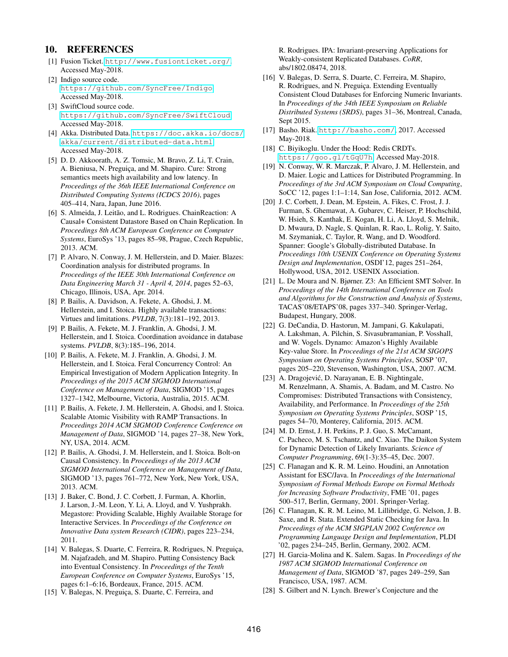# 10. REFERENCES

- <span id="page-12-23"></span>[1] Fusion Ticket. <http://www.fusionticket.org/>. Accessed May-2018.
- <span id="page-12-24"></span>[2] Indigo source code. <https://github.com/SyncFree/Indigo>. Accessed May-2018.
- <span id="page-12-21"></span>[3] SwiftCloud source code. <https://github.com/SyncFree/SwiftCloud>. Accessed May-2018.
- <span id="page-12-9"></span>[4] Akka. Distributed Data. [https://doc.akka.io/docs/](https://doc.akka.io/docs/akka/current/distributed-data.html) [akka/current/distributed-data.html](https://doc.akka.io/docs/akka/current/distributed-data.html). Accessed May-2018.
- <span id="page-12-14"></span>[5] D. D. Akkoorath, A. Z. Tomsic, M. Bravo, Z. Li, T. Crain, A. Bieniusa, N. Preguiça, and M. Shapiro. Cure: Strong semantics meets high availability and low latency. In *Proceedings of the 36th IEEE International Conference on Distributed Computing Systems (ICDCS 2016)*, pages 405–414, Nara, Japan, June 2016.
- <span id="page-12-11"></span>[6] S. Almeida, J. Leitão, and L. Rodrigues. ChainReaction: A Causal+ Consistent Datastore Based on Chain Replication. In *Proceedings 8th ACM European Conference on Computer Systems*, EuroSys '13, pages 85–98, Prague, Czech Republic, 2013. ACM.
- <span id="page-12-19"></span>[7] P. Alvaro, N. Conway, J. M. Hellerstein, and D. Maier. Blazes: Coordination analysis for distributed programs. In *Proceedings of the IEEE 30th International Conference on Data Engineering March 31 - April 4, 2014*, pages 52–63, Chicago, Illinois, USA, Apr. 2014.
- <span id="page-12-3"></span>[8] P. Bailis, A. Davidson, A. Fekete, A. Ghodsi, J. M. Hellerstein, and I. Stoica. Highly available transactions: Virtues and limitations. *PVLDB*, 7(3):181–192, 2013.
- <span id="page-12-13"></span>[9] P. Bailis, A. Fekete, M. J. Franklin, A. Ghodsi, J. M. Hellerstein, and I. Stoica. Coordination avoidance in database systems. *PVLDB*, 8(3):185–196, 2014.
- <span id="page-12-5"></span>[10] P. Bailis, A. Fekete, M. J. Franklin, A. Ghodsi, J. M. Hellerstein, and I. Stoica. Feral Concurrency Control: An Empirical Investigation of Modern Application Integrity. In *Proceedings of the 2015 ACM SIGMOD International Conference on Management of Data*, SIGMOD '15, pages 1327–1342, Melbourne, Victoria, Australia, 2015. ACM.
- <span id="page-12-4"></span>[11] P. Bailis, A. Fekete, J. M. Hellerstein, A. Ghodsi, and I. Stoica. Scalable Atomic Visibility with RAMP Transactions. In *Proceedings 2014 ACM SIGMOD Conference Conference on Management of Data*, SIGMOD '14, pages 27–38, New York, NY, USA, 2014. ACM.
- <span id="page-12-2"></span>[12] P. Bailis, A. Ghodsi, J. M. Hellerstein, and I. Stoica. Bolt-on Causal Consistency. In *Proceedings of the 2013 ACM SIGMOD International Conference on Management of Data*, SIGMOD '13, pages 761–772, New York, New York, USA, 2013. ACM.
- <span id="page-12-27"></span>[13] J. Baker, C. Bond, J. C. Corbett, J. Furman, A. Khorlin, J. Larson, J.-M. Leon, Y. Li, A. Lloyd, and V. Yushprakh. Megastore: Providing Scalable, Highly Available Storage for Interactive Services. In *Proceedings of the Conference on Innovative Data system Research (CIDR)*, pages 223–234, 2011.
- <span id="page-12-6"></span>[14] V. Balegas, S. Duarte, C. Ferreira, R. Rodrigues, N. Preguiça, M. Najafzadeh, and M. Shapiro. Putting Consistency Back into Eventual Consistency. In *Proceedings of the Tenth European Conference on Computer Systems*, EuroSys '15, pages 6:1–6:16, Bordeaux, France, 2015. ACM.
- <span id="page-12-15"></span>[15] V. Balegas, N. Preguiça, S. Duarte, C. Ferreira, and

R. Rodrigues. IPA: Invariant-preserving Applications for Weakly-consistent Replicated Databases. *CoRR*, abs/1802.08474, 2018.

- <span id="page-12-22"></span>[16] V. Balegas, D. Serra, S. Duarte, C. Ferreira, M. Shapiro, R. Rodrigues, and N. Preguiça. Extending Eventually Consistent Cloud Databases for Enforcing Numeric Invariants. In *Proceedings of the 34th IEEE Symposium on Reliable Distributed Systems (SRDS)*, pages 31–36, Montreal, Canada, Sept 2015.
- <span id="page-12-10"></span>[17] Basho. Riak. <http://basho.com/>, 2017. Accessed May-2018.
- <span id="page-12-8"></span>[18] C. Biyikoglu. Under the Hood: Redis CRDTs. <https://goo.gl/tGqU7h>. Accessed May-2018.
- <span id="page-12-7"></span>[19] N. Conway, W. R. Marczak, P. Alvaro, J. M. Hellerstein, and D. Maier. Logic and Lattices for Distributed Programming. In *Proceedings of the 3rd ACM Symposium on Cloud Computing*, SoCC '12, pages 1:1–1:14, San Jose, California, 2012. ACM.
- <span id="page-12-1"></span>[20] J. C. Corbett, J. Dean, M. Epstein, A. Fikes, C. Frost, J. J. Furman, S. Ghemawat, A. Gubarev, C. Heiser, P. Hochschild, W. Hsieh, S. Kanthak, E. Kogan, H. Li, A. Lloyd, S. Melnik, D. Mwaura, D. Nagle, S. Quinlan, R. Rao, L. Rolig, Y. Saito, M. Szymaniak, C. Taylor, R. Wang, and D. Woodford. Spanner: Google's Globally-distributed Database. In *Proceedings 10th USENIX Conference on Operating Systems Design and Implementation*, OSDI'12, pages 251–264, Hollywood, USA, 2012. USENIX Association.
- <span id="page-12-20"></span>[21] L. De Moura and N. Bjørner. Z3: An Efficient SMT Solver. In *Proceedings of the 14th International Conference on Tools and Algorithms for the Construction and Analysis of Systems*, TACAS'08/ETAPS'08, pages 337–340. Springer-Verlag, Budapest, Hungary, 2008.
- <span id="page-12-0"></span>[22] G. DeCandia, D. Hastorun, M. Jampani, G. Kakulapati, A. Lakshman, A. Pilchin, S. Sivasubramanian, P. Vosshall, and W. Vogels. Dynamo: Amazon's Highly Available Key-value Store. In *Proceedings of the 21st ACM SIGOPS Symposium on Operating Systems Principles*, SOSP '07, pages 205–220, Stevenson, Washington, USA, 2007. ACM.
- <span id="page-12-26"></span>[23] A. Dragojević, D. Narayanan, E. B. Nightingale, M. Renzelmann, A. Shamis, A. Badam, and M. Castro. No Compromises: Distributed Transactions with Consistency, Availability, and Performance. In *Proceedings of the 25th Symposium on Operating Systems Principles*, SOSP '15, pages 54–70, Monterey, California, 2015. ACM.
- <span id="page-12-17"></span>[24] M. D. Ernst, J. H. Perkins, P. J. Guo, S. McCamant, C. Pacheco, M. S. Tschantz, and C. Xiao. The Daikon System for Dynamic Detection of Likely Invariants. *Science of Computer Programming*, 69(1-3):35–45, Dec. 2007.
- <span id="page-12-18"></span>[25] C. Flanagan and K. R. M. Leino. Houdini, an Annotation Assistant for ESC/Java. In *Proceedings of the International Symposium of Formal Methods Europe on Formal Methods for Increasing Software Productivity*, FME '01, pages 500–517, Berlin, Germany, 2001. Springer-Verlag.
- <span id="page-12-16"></span>[26] C. Flanagan, K. R. M. Leino, M. Lillibridge, G. Nelson, J. B. Saxe, and R. Stata. Extended Static Checking for Java. In *Proceedings of the ACM SIGPLAN 2002 Conference on Programming Language Design and Implementation*, PLDI '02, pages 234–245, Berlin, Germany, 2002. ACM.
- <span id="page-12-12"></span>[27] H. Garcia-Molina and K. Salem. Sagas. In *Proceedings of the 1987 ACM SIGMOD International Conference on Management of Data*, SIGMOD '87, pages 249–259, San Francisco, USA, 1987. ACM.
- <span id="page-12-25"></span>[28] S. Gilbert and N. Lynch. Brewer's Conjecture and the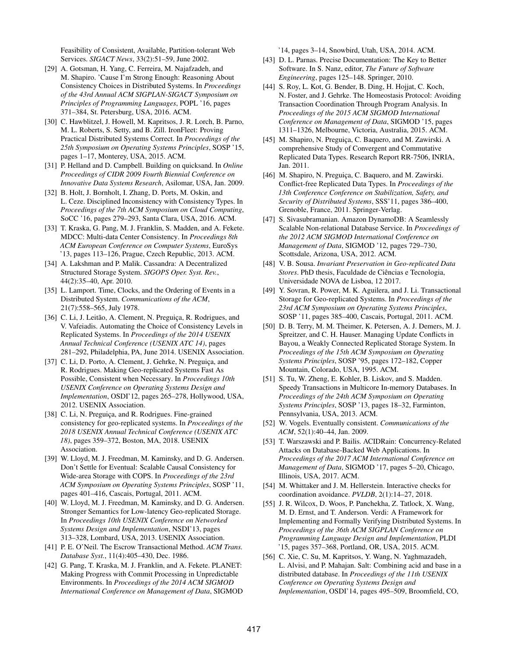Feasibility of Consistent, Available, Partition-tolerant Web Services. *SIGACT News*, 33(2):51–59, June 2002.

- <span id="page-13-14"></span>[29] A. Gotsman, H. Yang, C. Ferreira, M. Najafzadeh, and M. Shapiro. 'Cause I'm Strong Enough: Reasoning About Consistency Choices in Distributed Systems. In *Proceedings of the 43rd Annual ACM SIGPLAN-SIGACT Symposium on Principles of Programming Languages*, POPL '16, pages 371–384, St. Petersburg, USA, 2016. ACM.
- <span id="page-13-26"></span>[30] C. Hawblitzel, J. Howell, M. Kapritsos, J. R. Lorch, B. Parno, M. L. Roberts, S. Setty, and B. Zill. IronFleet: Proving Practical Distributed Systems Correct. In *Proceedings of the 25th Symposium on Operating Systems Principles*, SOSP '15, pages 1–17, Monterey, USA, 2015. ACM.
- <span id="page-13-25"></span>[31] P. Helland and D. Campbell. Building on quicksand. In *Online Proceedings of CIDR 2009 Fourth Biennial Conference on Innovative Data Systems Research*, Asilomar, USA, Jan. 2009.
- <span id="page-13-4"></span>[32] B. Holt, J. Bornholt, I. Zhang, D. Ports, M. Oskin, and L. Ceze. Disciplined Inconsistency with Consistency Types. In *Proceedings of the 7th ACM Symposium on Cloud Computing*, SoCC '16, pages 279–293, Santa Clara, USA, 2016. ACM.
- <span id="page-13-21"></span>[33] T. Kraska, G. Pang, M. J. Franklin, S. Madden, and A. Fekete. MDCC: Multi-data Center Consistency. In *Proceedings 8th ACM European Conference on Computer Systems*, EuroSys '13, pages 113–126, Prague, Czech Republic, 2013. ACM.
- <span id="page-13-11"></span>[34] A. Lakshman and P. Malik. Cassandra: A Decentralized Structured Storage System. *SIGOPS Oper. Syst. Rev.*, 44(2):35–40, Apr. 2010.
- <span id="page-13-13"></span>[35] L. Lamport. Time, Clocks, and the Ordering of Events in a Distributed System. *Communications of the ACM*, 21(7):558–565, July 1978.
- <span id="page-13-7"></span>[36] C. Li, J. Leitão, A. Clement, N. Preguiça, R. Rodrigues, and V. Vafeiadis. Automating the Choice of Consistency Levels in Replicated Systems. In *Proceedings of the 2014 USENIX Annual Technical Conference (USENIX ATC 14)*, pages 281–292, Philadelphia, PA, June 2014. USENIX Association.
- <span id="page-13-6"></span>[37] C. Li, D. Porto, A. Clement, J. Gehrke, N. Preguiça, and R. Rodrigues. Making Geo-replicated Systems Fast As Possible, Consistent when Necessary. In *Proceedings 10th USENIX Conference on Operating Systems Design and Implementation*, OSDI'12, pages 265–278, Hollywood, USA, 2012. USENIX Association.
- <span id="page-13-23"></span>[38] C. Li, N. Preguiça, and R. Rodrigues. Fine-grained consistency for geo-replicated systems. In *Proceedings of the 2018 USENIX Annual Technical Conference (USENIX ATC 18)*, pages 359–372, Boston, MA, 2018. USENIX Association.
- <span id="page-13-2"></span>[39] W. Lloyd, M. J. Freedman, M. Kaminsky, and D. G. Andersen. Don't Settle for Eventual: Scalable Causal Consistency for Wide-area Storage with COPS. In *Proceedings of the 23rd ACM Symposium on Operating Systems Principles*, SOSP '11, pages 401–416, Cascais, Portugal, 2011. ACM.
- <span id="page-13-3"></span>[40] W. Lloyd, M. J. Freedman, M. Kaminsky, and D. G. Andersen. Stronger Semantics for Low-latency Geo-replicated Storage. In *Proceedings 10th USENIX Conference on Networked Systems Design and Implementation*, NSDI'13, pages 313–328, Lombard, USA, 2013. USENIX Association.
- <span id="page-13-19"></span>[41] P. E. O'Neil. The Escrow Transactional Method. *ACM Trans. Database Syst.*, 11(4):405–430, Dec. 1986.
- <span id="page-13-16"></span>[42] G. Pang, T. Kraska, M. J. Franklin, and A. Fekete. PLANET: Making Progress with Commit Processing in Unpredictable Environments. In *Proceedings of the 2014 ACM SIGMOD International Conference on Management of Data*, SIGMOD

'14, pages 3–14, Snowbird, Utah, USA, 2014. ACM.

- <span id="page-13-17"></span>[43] D. L. Parnas. Precise Documentation: The Key to Better Software. In S. Nanz, editor, *The Future of Software Engineering*, pages 125–148. Springer, 2010.
- <span id="page-13-8"></span>[44] S. Roy, L. Kot, G. Bender, B. Ding, H. Hojjat, C. Koch, N. Foster, and J. Gehrke. The Homeostasis Protocol: Avoiding Transaction Coordination Through Program Analysis. In *Proceedings of the 2015 ACM SIGMOD International Conference on Management of Data*, SIGMOD '15, pages 1311–1326, Melbourne, Victoria, Australia, 2015. ACM.
- <span id="page-13-1"></span>[45] M. Shapiro, N. Preguica, C. Baquero, and M. Zawirski. A comprehensive Study of Convergent and Commutative Replicated Data Types. Research Report RR-7506, INRIA, Jan. 2011.
- <span id="page-13-12"></span>[46] M. Shapiro, N. Preguiça, C. Baquero, and M. Zawirski. Conflict-free Replicated Data Types. In *Proceedings of the 13th Conference Conference on Stabilization, Safety, and Security of Distributed Systems*, SSS'11, pages 386–400, Grenoble, France, 2011. Springer-Verlag.
- <span id="page-13-22"></span>[47] S. Sivasubramanian. Amazon DynamoDB: A Seamlessly Scalable Non-relational Database Service. In *Proceedings of the 2012 ACM SIGMOD International Conference on Management of Data*, SIGMOD '12, pages 729–730, Scottsdale, Arizona, USA, 2012. ACM.
- <span id="page-13-15"></span>[48] V. B. Sousa. *Invariant Preservation in Geo-replicated Data*  $Stores$ . PhD thesis, Faculdade de Ciências e Tecnologia, Universidade NOVA de Lisboa, 12 2017.
- <span id="page-13-0"></span>[49] Y. Sovran, R. Power, M. K. Aguilera, and J. Li. Transactional Storage for Geo-replicated Systems. In *Proceedings of the 23rd ACM Symposium on Operating Systems Principles*, SOSP '11, pages 385–400, Cascais, Portugal, 2011. ACM.
- <span id="page-13-9"></span>[50] D. B. Terry, M. M. Theimer, K. Petersen, A. J. Demers, M. J. Spreitzer, and C. H. Hauser. Managing Update Conflicts in Bayou, a Weakly Connected Replicated Storage System. In *Proceedings of the 15th ACM Symposium on Operating Systems Principles*, SOSP '95, pages 172–182, Copper Mountain, Colorado, USA, 1995. ACM.
- <span id="page-13-18"></span>[51] S. Tu, W. Zheng, E. Kohler, B. Liskov, and S. Madden. Speedy Transactions in Multicore In-memory Databases. In *Proceedings of the 24th ACM Symposium on Operating Systems Principles*, SOSP '13, pages 18–32, Farminton, Pennsylvania, USA, 2013. ACM.
- <span id="page-13-10"></span>[52] W. Vogels. Eventually consistent. *Communications of the ACM*, 52(1):40–44, Jan. 2009.
- <span id="page-13-5"></span>[53] T. Warszawski and P. Bailis. ACIDRain: Concurrency-Related Attacks on Database-Backed Web Applications. In *Proceedings of the 2017 ACM International Conference on Management of Data*, SIGMOD '17, pages 5–20, Chicago, Illinois, USA, 2017. ACM.
- <span id="page-13-24"></span>[54] M. Whittaker and J. M. Hellerstein. Interactive checks for coordination avoidance. *PVLDB*, 2(1):14–27, 2018.
- <span id="page-13-27"></span>[55] J. R. Wilcox, D. Woos, P. Panchekha, Z. Tatlock, X. Wang, M. D. Ernst, and T. Anderson. Verdi: A Framework for Implementing and Formally Verifying Distributed Systems. In *Proceedings of the 36th ACM SIGPLAN Conference on Programming Language Design and Implementation*, PLDI '15, pages 357–368, Portland, OR, USA, 2015. ACM.
- <span id="page-13-20"></span>[56] C. Xie, C. Su, M. Kapritsos, Y. Wang, N. Yaghmazadeh, L. Alvisi, and P. Mahajan. Salt: Combining acid and base in a distributed database. In *Proceedings of the 11th USENIX Conference on Operating Systems Design and Implementation*, OSDI'14, pages 495–509, Broomfield, CO,